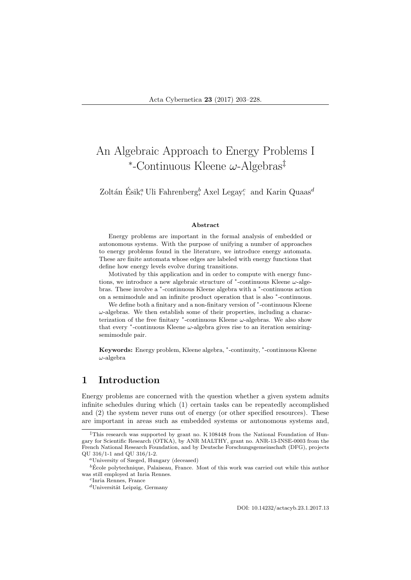# An Algebraic Approach to Energy Problems I ∗ -Continuous Kleene ω-Algebras‡

Zoltán Ésik,<sup>a</sup> Uli Fahrenberg,<sup>b</sup> Axel Legay; and Karin Quaas<sup>d</sup>

#### Abstract

Energy problems are important in the formal analysis of embedded or autonomous systems. With the purpose of unifying a number of approaches to energy problems found in the literature, we introduce energy automata. These are finite automata whose edges are labeled with energy functions that define how energy levels evolve during transitions.

Motivated by this application and in order to compute with energy functions, we introduce a new algebraic structure of  $*$ -continuous Kleene  $\omega$ -algebras. These involve a <sup>\*</sup>-continuous Kleene algebra with a <sup>\*</sup>-continuous action on a semimodule and an infinite product operation that is also <sup>∗</sup> -continuous.

We define both a finitary and a non-finitary version of  $*$ -continuous Kleene  $\omega$ -algebras. We then establish some of their properties, including a characterization of the free finitary  $*$ -continuous Kleene  $\omega$ -algebras. We also show that every  $*$ -continuous Kleene  $\omega$ -algebra gives rise to an iteration semiringsemimodule pair.

Keywords: Energy problem, Kleene algebra, \*-continuity, \*-continuous Kleene  $\omega$ -algebra

## 1 Introduction

Energy problems are concerned with the question whether a given system admits infinite schedules during which (1) certain tasks can be repeatedly accomplished and (2) the system never runs out of energy (or other specified resources). These are important in areas such as embedded systems or autonomous systems and,

DOI: 10.14232/actacyb.23.1.2017.13

<sup>‡</sup>This research was supported by grant no. K 108448 from the National Foundation of Hungary for Scientific Research (OTKA), by ANR MALTHY, grant no. ANR-13-INSE-0003 from the French National Research Foundation, and by Deutsche Forschungsgemeinschaft (DFG), projects QU 316/1-1 and QU 316/1-2.

<sup>a</sup>University of Szeged, Hungary (deceased)

 $\overline{b}$  Ecole polytechnique, Palaiseau, France. Most of this work was carried out while this author was still employed at Inria Rennes.

c Inria Rennes, France

 $d$ Universität Leipzig, Germany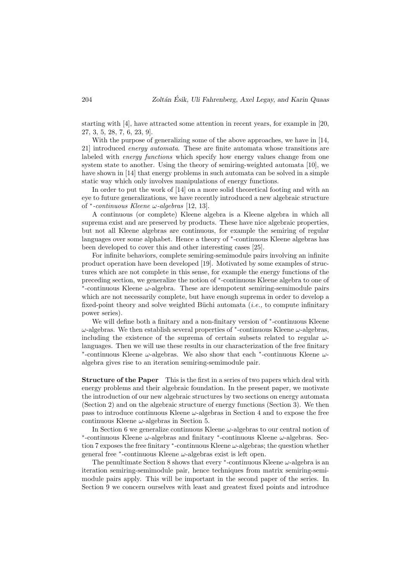starting with [4], have attracted some attention in recent years, for example in [20, 27, 3, 5, 28, 7, 6, 23, 9].

With the purpose of generalizing some of the above approaches, we have in [14, 21] introduced energy automata. These are finite automata whose transitions are labeled with *energy functions* which specify how energy values change from one system state to another. Using the theory of semiring-weighted automata [10], we have shown in [14] that energy problems in such automata can be solved in a simple static way which only involves manipulations of energy functions.

In order to put the work of [14] on a more solid theoretical footing and with an eye to future generalizations, we have recently introduced a new algebraic structure of  $*$ -continuous Kleene  $\omega$ -algebras [12, 13].

A continuous (or complete) Kleene algebra is a Kleene algebra in which all suprema exist and are preserved by products. These have nice algebraic properties, but not all Kleene algebras are continuous, for example the semiring of regular languages over some alphabet. Hence a theory of <sup>∗</sup> -continuous Kleene algebras has been developed to cover this and other interesting cases [25].

For infinite behaviors, complete semiring-semimodule pairs involving an infinite product operation have been developed [19]. Motivated by some examples of structures which are not complete in this sense, for example the energy functions of the preceding section, we generalize the notion of  $*$ -continuous Kleene algebra to one of ∗ -continuous Kleene ω-algebra. These are idempotent semiring-semimodule pairs which are not necessarily complete, but have enough suprema in order to develop a fixed-point theory and solve weighted Büchi automata  $(i.e.,$  to compute infinitary power series).

We will define both a finitary and a non-finitary version of  $*$ -continuous Kleene  $\omega$ -algebras. We then establish several properties of  $*$ -continuous Kleene  $\omega$ -algebras, including the existence of the suprema of certain subsets related to regular  $\omega$ languages. Then we will use these results in our characterization of the free finitary ∗ -continuous Kleene ω-algebras. We also show that each <sup>∗</sup> -continuous Kleene ωalgebra gives rise to an iteration semiring-semimodule pair.

Structure of the Paper This is the first in a series of two papers which deal with energy problems and their algebraic foundation. In the present paper, we motivate the introduction of our new algebraic structures by two sections on energy automata (Section 2) and on the algebraic structure of energy functions (Section 3). We then pass to introduce continuous Kleene  $\omega$ -algebras in Section 4 and to expose the free continuous Kleene  $\omega$ -algebras in Section 5.

In Section 6 we generalize continuous Kleene  $\omega$ -algebras to our central notion of ∗ -continuous Kleene ω-algebras and finitary <sup>∗</sup> -continuous Kleene ω-algebras. Section 7 exposes the free finitary  $*$ -continuous Kleene  $\omega$ -algebras; the question whether general free  $*$ -continuous Kleene  $\omega$ -algebras exist is left open.

The penultimate Section 8 shows that every  $*$ -continuous Kleene  $\omega$ -algebra is an iteration semiring-semimodule pair, hence techniques from matrix semiring-semimodule pairs apply. This will be important in the second paper of the series. In Section 9 we concern ourselves with least and greatest fixed points and introduce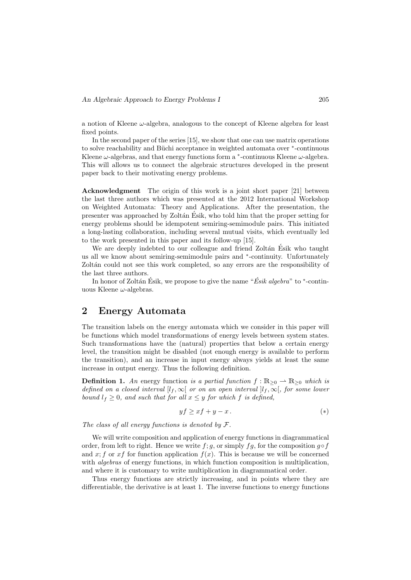a notion of Kleene  $\omega$ -algebra, analogous to the concept of Kleene algebra for least fixed points.

In the second paper of the series [15], we show that one can use matrix operations to solve reachability and Büchi acceptance in weighted automata over  $*$ -continuous Kleene  $\omega$ -algebras, and that energy functions form a  $*$ -continuous Kleene  $\omega$ -algebra. This will allows us to connect the algebraic structures developed in the present paper back to their motivating energy problems.

Acknowledgment The origin of this work is a joint short paper [21] between the last three authors which was presented at the 2012 International Workshop on Weighted Automata: Theory and Applications. After the presentation, the presenter was approached by Zolt´an Esik, who told him that the proper setting for ´ energy problems should be idempotent semiring-semimodule pairs. This initiated a long-lasting collaboration, including several mutual visits, which eventually led to the work presented in this paper and its follow-up [15].

We are deeply indebted to our colleague and friend Zoltán Ésik who taught us all we know about semiring-semimodule pairs and  $*$ -continuity. Unfortunately Zoltán could not see this work completed, so any errors are the responsibility of the last three authors.

In honor of Zoltán Ésik, we propose to give the name " $\acute{E}sik\ algebra$ " to \*-continuous Kleene  $\omega$ -algebras.

## 2 Energy Automata

The transition labels on the energy automata which we consider in this paper will be functions which model transformations of energy levels between system states. Such transformations have the (natural) properties that below a certain energy level, the transition might be disabled (not enough energy is available to perform the transition), and an increase in input energy always yields at least the same increase in output energy. Thus the following definition.

**Definition 1.** An energy function is a partial function  $f : \mathbb{R}_{\geq 0} \to \mathbb{R}_{\geq 0}$  which is defined on a closed interval  $[l_f, \infty]$  or on an open interval  $[l_f, \infty]$ , for some lower bound  $l_f \geq 0$ , and such that for all  $x \leq y$  for which f is defined,

$$
yf \ge xf + y - x. \tag{*}
$$

The class of all energy functions is denoted by  $\mathcal{F}.$ 

We will write composition and application of energy functions in diagrammatical order, from left to right. Hence we write f; g, or simply fg, for the composition  $g \circ f$ and x; f or x f for function application  $f(x)$ . This is because we will be concerned with *algebras* of energy functions, in which function composition is multiplication, and where it is customary to write multiplication in diagrammatical order.

Thus energy functions are strictly increasing, and in points where they are differentiable, the derivative is at least 1. The inverse functions to energy functions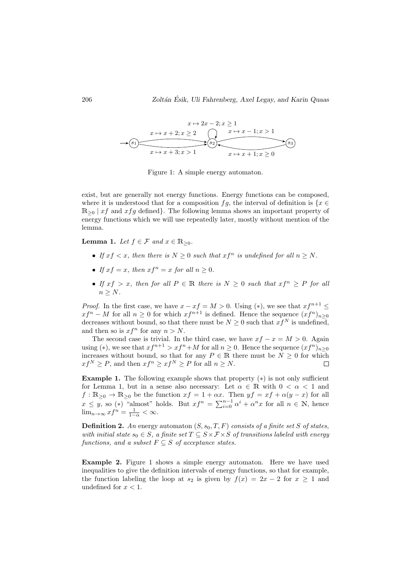

Figure 1: A simple energy automaton.

exist, but are generally not energy functions. Energy functions can be composed, where it is understood that for a composition fg, the interval of definition is  $\{x \in$  $\mathbb{R}_{\geq 0}$  | xf and xfg defined}. The following lemma shows an important property of energy functions which we will use repeatedly later, mostly without mention of the lemma.

**Lemma 1.** Let  $f \in \mathcal{F}$  and  $x \in \mathbb{R}_{\geq 0}$ .

- If  $xf < x$ , then there is  $N \geq 0$  such that  $xf^n$  is undefined for all  $n \geq N$ .
- If  $xf = x$ , then  $xf^n = x$  for all  $n \ge 0$ .
- If  $xf > x$ , then for all  $P \in \mathbb{R}$  there is  $N \geq 0$  such that  $xf^n \geq P$  for all  $n > N$ .

*Proof.* In the first case, we have  $x - xf = M > 0$ . Using (\*), we see that  $xf^{n+1} \leq$  $xf^{n}-M$  for all  $n\geq 0$  for which  $xf^{n+1}$  is defined. Hence the sequence  $(xf^{n})_{n\geq 0}$ decreases without bound, so that there must be  $N \geq 0$  such that  $xf^N$  is undefined, and then so is  $xf^n$  for any  $n > N$ .

The second case is trivial. In the third case, we have  $xf - x = M > 0$ . Again using (\*), we see that  $xf^{n+1} > xf^n + M$  for all  $n \geq 0$ . Hence the sequence  $(xf^n)_{n\geq 0}$ increases without bound, so that for any  $P \in \mathbb{R}$  there must be  $N \geq 0$  for which  $xf^N \ge P$ , and then  $xf^n \ge xf^N \ge P$  for all  $n \ge N$ .

**Example 1.** The following example shows that property  $(*)$  is not only sufficient for Lemma 1, but in a sense also necessary: Let  $\alpha \in \mathbb{R}$  with  $0 < \alpha < 1$  and  $f: \mathbb{R}_{\geq 0} \to \mathbb{R}_{\geq 0}$  be the function  $xf = 1 + \alpha x$ . Then  $yf = xf + \alpha(y - x)$  for all  $x \leq y$ , so (\*) "almost" holds. But  $xf^{n} = \sum_{i=0}^{n-1} \alpha^{i} + \alpha^{n} x$  for all  $n \in \mathbb{N}$ , hence  $\lim_{n\to\infty} x f^n = \frac{1}{1-\alpha} < \infty.$ 

**Definition 2.** An energy automaton  $(S, s_0, T, F)$  consists of a finite set S of states, with initial state  $s_0 \in S$ , a finite set  $T \subseteq S \times F \times S$  of transitions labeled with energy functions, and a subset  $F \subseteq S$  of acceptance states.

Example 2. Figure 1 shows a simple energy automaton. Here we have used inequalities to give the definition intervals of energy functions, so that for example, the function labeling the loop at  $s_2$  is given by  $f(x) = 2x - 2$  for  $x > 1$  and undefined for  $x < 1$ .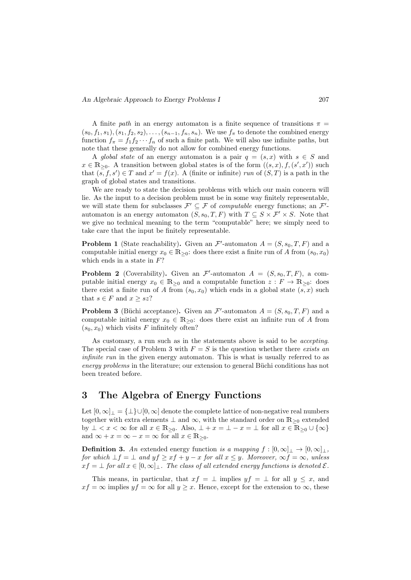A finite path in an energy automaton is a finite sequence of transitions  $\pi$  =  $(s_0, f_1, s_1), (s_1, f_2, s_2), \ldots, (s_{n-1}, f_n, s_n).$  We use  $f_{\pi}$  to denote the combined energy function  $f_{\pi} = f_1 f_2 \cdots f_n$  of such a finite path. We will also use infinite paths, but note that these generally do not allow for combined energy functions.

A global state of an energy automaton is a pair  $q = (s, x)$  with  $s \in S$  and  $x \in \mathbb{R}_{\geq 0}$ . A transition between global states is of the form  $((s, x), f, (s', x'))$  such that  $(s, f, s') \in T$  and  $x' = f(x)$ . A (finite or infinite) run of  $(S, T)$  is a path in the graph of global states and transitions.

We are ready to state the decision problems with which our main concern will lie. As the input to a decision problem must be in some way finitely representable, we will state them for subclasses  $\mathcal{F}' \subseteq \mathcal{F}$  of computable energy functions; an  $\mathcal{F}'$ automaton is an energy automaton  $(S, s_0, T, F)$  with  $T \subseteq S \times F' \times S$ . Note that we give no technical meaning to the term "computable" here; we simply need to take care that the input be finitely representable.

**Problem 1** (State reachability). Given an  $\mathcal{F}'$ -automaton  $A = (S, s_0, T, F)$  and a computable initial energy  $x_0 \in \mathbb{R}_{\geq 0}$ : does there exist a finite run of A from  $(s_0, x_0)$ which ends in a state in  $F$ ?

**Problem 2** (Coverability). Given an  $\mathcal{F}'$ -automaton  $A = (S, s_0, T, F)$ , a computable initial energy  $x_0 \in \mathbb{R}_{\geq 0}$  and a computable function  $z : F \to \mathbb{R}_{\geq 0}$ : does there exist a finite run of A from  $(s_0, x_0)$  which ends in a global state  $(s, x)$  such that  $s \in F$  and  $x > sz$ ?

**Problem 3** (Büchi acceptance). Given an  $\mathcal{F}'$ -automaton  $A = (S, s_0, T, F)$  and a computable initial energy  $x_0 \in \mathbb{R}_{\geq 0}$ : does there exist an infinite run of A from  $(s_0, x_0)$  which visits F infinitely often?

As customary, a run such as in the statements above is said to be accepting. The special case of Problem 3 with  $F = S$  is the question whether there exists an infinite run in the given energy automaton. This is what is usually referred to as energy problems in the literature; our extension to general Büchi conditions has not been treated before.

## 3 The Algebra of Energy Functions

Let  $[0, \infty]$ <sub>⊥</sub> =  $\{\perp\}$ ∪ $[0, \infty]$  denote the complete lattice of non-negative real numbers together with extra elements  $\perp$  and  $\infty$ , with the standard order on  $\mathbb{R}_{\geq 0}$  extended by  $\perp < x < \infty$  for all  $x \in \mathbb{R}_{\geq 0}$ . Also,  $\perp + x = \perp - x = \perp$  for all  $x \in \mathbb{R}_{\geq 0} \cup \{\infty\}$ and  $\infty + x = \infty - x = \infty$  for all  $x \in \mathbb{R}_{\geq 0}$ .

**Definition 3.** An extended energy function is a mapping  $f : [0, \infty]_{\perp} \to [0, \infty]_{\perp}$ , for which  $\bot f = \bot$  and  $y f \geq x f + y - x$  for all  $x \leq y$ . Moreover,  $\infty f = \infty$ , unless  $xf = \bot$  for all  $x \in [0, \infty]$ . The class of all extended energy functions is denoted  $\mathcal{E}$ .

This means, in particular, that  $xf = \perp$  implies  $yf = \perp$  for all  $y \leq x$ , and  $xf = \infty$  implies  $yf = \infty$  for all  $y > x$ . Hence, except for the extension to  $\infty$ , these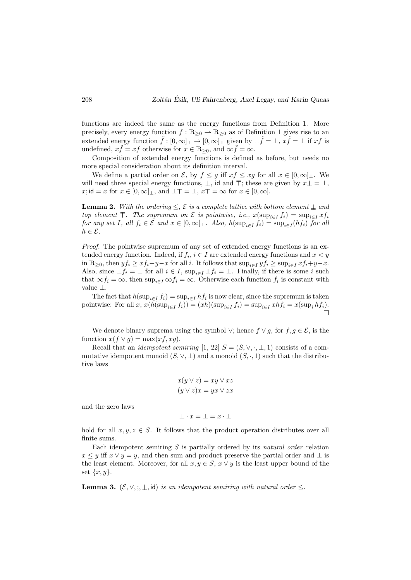functions are indeed the same as the energy functions from Definition 1. More precisely, every energy function  $f : \mathbb{R}_{\geq 0} \to \mathbb{R}_{\geq 0}$  as of Definition 1 gives rise to an extended energy function  $\tilde{f} : [0, \infty]_{\perp} \to [0, \infty]_{\perp}$  given by  $\perp \tilde{f} = \perp$ ,  $x\tilde{f} = \perp$  if  $xf$  is undefined,  $x\tilde{f} = xf$  otherwise for  $x \in \mathbb{R}_{\geq 0}$ , and  $\infty \tilde{f} = \infty$ .

Composition of extended energy functions is defined as before, but needs no more special consideration about its definition interval.

We define a partial order on  $\mathcal{E}$ , by  $f \leq g$  iff  $xf \leq xg$  for all  $x \in [0,\infty]_+\mathcal{E}$ . We will need three special energy functions,  $\perp$ , id and  $\top$ ; these are given by  $x \perp = \perp$ , x; id = x for  $x \in [0, \infty]_+$ , and  $\bot \top = \bot$ ,  $x \top = \infty$  for  $x \in [0, \infty]$ .

**Lemma 2.** With the ordering  $\leq$ ,  $\mathcal{E}$  is a complete lattice with bottom element  $\perp$  and top element  $\top$ . The supremum on E is pointwise, i.e.,  $x(\sup_{i\in I} f_i) = \sup_{i\in I} xf_i$ for any set I, all  $f_i \in \mathcal{E}$  and  $x \in [0, \infty]_+$ . Also,  $h(\sup_{i \in I} f_i) = \sup_{i \in I} (hf_i)$  for all  $h \in \mathcal{E}$ .

Proof. The pointwise supremum of any set of extended energy functions is an extended energy function. Indeed, if  $f_i$ ,  $i \in I$  are extended energy functions and  $x < y$ in  $\mathbb{R}_{\geq 0}$ , then  $y f_i \geq x f_i + y - x$  for all i. It follows that  $\sup_{i \in I} y f_i \geq \sup_{i \in I} x f_i + y - x$ . Also, since  $\bot f_i = \bot$  for all  $i \in I$ ,  $\sup_{i \in I} \bot f_i = \bot$ . Finally, if there is some i such that  $\infty f_i = \infty$ , then  $\sup_{i \in I} \infty f_i = \infty$ . Otherwise each function  $f_i$  is constant with value ⊥.

The fact that  $h(\sup_{i \in I} f_i) = \sup_{i \in I} hf_i$  is now clear, since the supremum is taken pointwise: For all  $x$ ,  $x(h(\sup_{i\in I} f_i)) = (xh)(\sup_{i\in I} f_i) = \sup_{i\in I} xhf_i = x(\sup_i hf_i)$ .

We denote binary suprema using the symbol  $\vee$ ; hence  $f \vee g$ , for  $f, g \in \mathcal{E}$ , is the function  $x(f \vee g) = \max(xf, xg)$ .

Recall that an *idempotent semiring*  $[1, 22]$   $S = (S, \vee, \cdot, \perp, 1)$  consists of a commutative idempotent monoid  $(S, \vee, \perp)$  and a monoid  $(S, \cdot, 1)$  such that the distributive laws

$$
x(y \lor z) = xy \lor xz
$$

$$
(y \lor z)x = yx \lor zx
$$

and the zero laws

$$
\bot \cdot x = \bot = x \cdot \bot
$$

hold for all  $x, y, z \in S$ . It follows that the product operation distributes over all finite sums.

Each idempotent semiring  $S$  is partially ordered by its natural order relation  $x \leq y$  iff  $x \vee y = y$ , and then sum and product preserve the partial order and  $\perp$  is the least element. Moreover, for all  $x, y \in S$ ,  $x \vee y$  is the least upper bound of the set  $\{x, y\}.$ 

**Lemma 3.**  $(\mathcal{E}, \vee, \cdot, \cdot, \bot, \text{id})$  is an idempotent semiring with natural order  $\leq$ .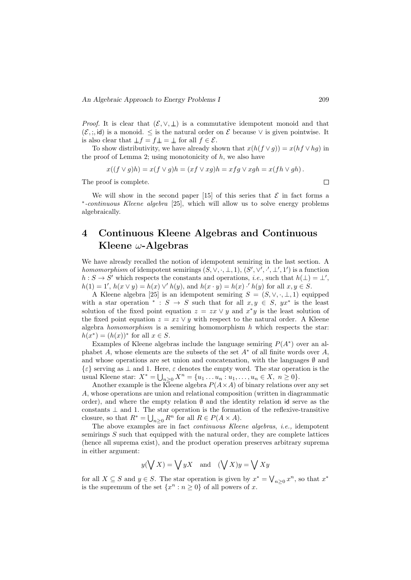*Proof.* It is clear that  $(\mathcal{E}, \vee, \perp)$  is a commutative idempotent monoid and that  $(\mathcal{E}, :$ , id) is a monoid.  $\leq$  is the natural order on  $\mathcal E$  because  $\vee$  is given pointwise. It is also clear that  $\bot f = f \bot = \bot$  for all  $f \in \mathcal{E}$ .

To show distributivity, we have already shown that  $x(h(f \vee g)) = x(hf \vee hg)$  in the proof of Lemma 2; using monotonicity of  $h$ , we also have

$$
x((f \vee g)h) = x(f \vee g)h = (xf \vee xg)h = xfg \vee xgh = x(fh \vee gh).
$$

The proof is complete.

We will show in the second paper [15] of this series that  $\mathcal E$  in fact forms a ∗ -continuous Kleene algebra [25], which will allow us to solve energy problems algebraically.

## 4 Continuous Kleene Algebras and Continuous Kleene  $\omega$ -Algebras

We have already recalled the notion of idempotent semiring in the last section. A homomorphism of idempotent semirings  $(S, \vee, \cdot, \bot, 1), (S', \vee', \cdot', \bot', 1')$  is a function  $h: S \to S'$  which respects the constants and operations, *i.e.*, such that  $h(\perp) = \perp'$ ,  $h(1) = 1', h(x \vee y) = h(x) \vee h(y)$ , and  $h(x \cdot y) = h(x) \cdot h(y)$  for all  $x, y \in S$ .

A Kleene algebra [25] is an idempotent semiring  $S = (S, \vee, \cdot, \perp, 1)$  equipped with a star operation \* :  $S \to S$  such that for all  $x, y \in S$ ,  $yx^*$  is the least solution of the fixed point equation  $z = zx \vee y$  and  $x^*y$  is the least solution of the fixed point equation  $z = xz \vee y$  with respect to the natural order. A Kleene algebra *homomorphism* is a semiring homomorphism  $h$  which respects the star:  $h(x^*) = (h(x))^*$  for all  $x \in S$ .

Examples of Kleene algebras include the language semiring  $P(A^*)$  over an alphabet A, whose elements are the subsets of the set  $A^*$  of all finite words over A. and whose operations are set union and concatenation, with the languages  $\emptyset$  and  $\{\varepsilon\}$  serving as  $\perp$  and 1. Here,  $\varepsilon$  denotes the empty word. The star operation is the usual Kleene star:  $X^* = \bigcup_{n \geq 0} X^n = \{u_1 \dots u_n : u_1, \dots, u_n \in X, n \geq 0\}.$ 

Another example is the Kleene algebra  $P(A \times A)$  of binary relations over any set A, whose operations are union and relational composition (written in diagrammatic order), and where the empty relation ∅ and the identity relation id serve as the constants  $\perp$  and 1. The star operation is the formation of the reflexive-transitive closure, so that  $R^* = \bigcup_{n \geq 0} R^n$  for all  $R \in P(A \times A)$ .

The above examples are in fact *continuous Kleene algebras*, *i.e.*, idempotent semirings  $S$  such that equipped with the natural order, they are complete lattices (hence all suprema exist), and the product operation preserves arbitrary suprema in either argument:

$$
y(\bigvee X) = \bigvee yX
$$
 and  $(\bigvee X)y = \bigvee Xy$ 

for all  $X \subseteq S$  and  $y \in S$ . The star operation is given by  $x^* = \bigvee_{n \geq 0} x^n$ , so that  $x^*$ is the supremum of the set  $\{x^n : n \geq 0\}$  of all powers of x.

 $\Box$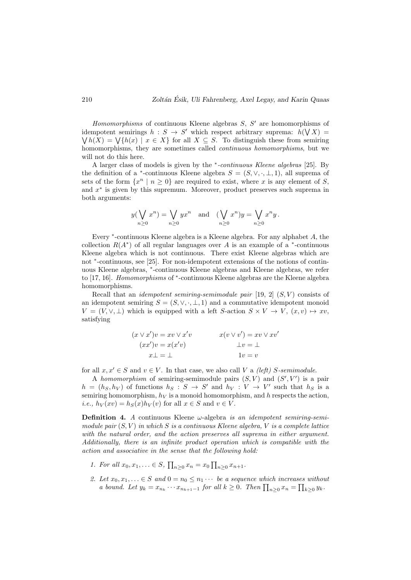Homomorphisms of continuous Kleene algebras  $S, S'$  are homomorphisms of idempotent semirings  $h: S \to S'$  which respect arbitrary suprema:  $h(\bigvee X) =$  $\bigvee h(X) = \bigvee \{h(x) \mid x \in X\}$  for all  $X \subseteq S$ . To distinguish these from semiring homomorphisms, they are sometimes called *continuous homomorphisms*, but we will not do this here.

A larger class of models is given by the <sup>∗</sup> -continuous Kleene algebras [25]. By the definition of a <sup>\*</sup>-continuous Kleene algebra  $S = (S, \vee, \cdot, \perp, 1)$ , all suprema of sets of the form  $\{x^n \mid n \geq 0\}$  are required to exist, where x is any element of S, and  $x^*$  is given by this supremum. Moreover, product preserves such suprema in both arguments:

$$
y(\bigvee_{n\geq 0} x^n) = \bigvee_{n\geq 0} yx^n \text{ and } (\bigvee_{n\geq 0} x^n)y = \bigvee_{n\geq 0} x^n y.
$$

Every <sup>∗</sup> -continuous Kleene algebra is a Kleene algebra. For any alphabet A, the collection  $R(A^*)$  of all regular languages over A is an example of a  $*$ -continuous Kleene algebra which is not continuous. There exist Kleene algebras which are not <sup>∗</sup> -continuous, see [25]. For non-idempotent extensions of the notions of continuous Kleene algebras, \*-continuous Kleene algebras and Kleene algebras, we refer to [17, 16]. Homomorphisms of \*-continuous Kleene algebras are the Kleene algebra homomorphisms.

Recall that an *idempotent semiring-semimodule pair* [19, 2]  $(S, V)$  consists of an idempotent semiring  $S = (S, \vee, \cdot, \bot, 1)$  and a commutative idempotent monoid  $V = (V, \vee, \perp)$  which is equipped with a left S-action  $S \times V \to V$ ,  $(x, v) \mapsto xv$ . satisfying

$$
(x \lor x')v = xv \lor x'v
$$
  
\n
$$
(xx')v = x(x'v)
$$
  
\n
$$
x(v \lor v') = xv \lor xv'
$$
  
\n
$$
\bot v = \bot
$$
  
\n
$$
1v = v
$$

for all  $x, x' \in S$  and  $v \in V$ . In that case, we also call V a *(left)* S-semimodule.

A homomorphism of semiring-semimodule pairs  $(S, V)$  and  $(S', V')$  is a pair  $h = (h_S, h_V)$  of functions  $h_S : S \to S'$  and  $h_V : V \to V'$  such that  $h_S$  is a semiring homomorphism,  $h_V$  is a monoid homomorphism, and h respects the action, *i.e.*,  $h_V(xv) = h_S(x)h_V(v)$  for all  $x \in S$  and  $v \in V$ .

**Definition 4.** A continuous Kleene  $\omega$ -algebra is an idempotent semiring-semimodule pair  $(S, V)$  in which S is a continuous Kleene algebra, V is a complete lattice with the natural order, and the action preserves all suprema in either argument. Additionally, there is an infinite product operation which is compatible with the action and associative in the sense that the following hold:

- 1. For all  $x_0, x_1, \ldots \in S$ ,  $\prod_{n \geq 0} x_n = x_0 \prod_{n \geq 0} x_{n+1}$ .
- 2. Let  $x_0, x_1, \ldots \in S$  and  $0 = n_0 \leq n_1 \cdots$  be a sequence which increases without a bound. Let  $y_k = x_{n_k} \cdots x_{n_{k+1}-1}$  for all  $k \geq 0$ . Then  $\prod_{n \geq 0} x_n = \prod_{k \geq 0} y_k$ .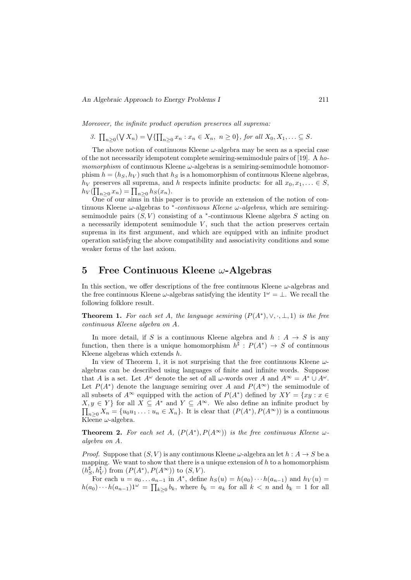Moreover, the infinite product operation preserves all suprema:

3. 
$$
\prod_{n\geq 0} (\bigvee X_n) = \bigvee \{ \prod_{n\geq 0} x_n : x_n \in X_n, \ n \geq 0 \}, \text{ for all } X_0, X_1, \dots \subseteq S.
$$

The above notion of continuous Kleene  $\omega$ -algebra may be seen as a special case of the not necessarily idempotent complete semiring-semimodule pairs of [19]. A ho*momorphism* of continuous Kleene  $\omega$ -algebras is a semiring-semimodule homomorphism  $h = (h_S, h_V)$  such that  $h_S$  is a homomorphism of continuous Kleene algebras,  $h_V$  preserves all suprema, and h respects infinite products: for all  $x_0, x_1, \ldots \in S$ ,  $h_V(\prod_{n\geq 0} x_n) = \prod_{n\geq 0} h_S(x_n).$ 

One of our aims in this paper is to provide an extension of the notion of continuous Kleene  $\omega$ -algebras to \*-continuous Kleene  $\omega$ -algebras, which are semiringsemimodule pairs  $(S, V)$  consisting of a  $*$ -continuous Kleene algebra S acting on a necessarily idempotent semimodule  $V$ , such that the action preserves certain suprema in its first argument, and which are equipped with an infinite product operation satisfying the above compatibility and associativity conditions and some weaker forms of the last axiom.

### 5 Free Continuous Kleene  $\omega$ -Algebras

In this section, we offer descriptions of the free continuous Kleene  $\omega$ -algebras and the free continuous Kleene  $\omega$ -algebras satisfying the identity  $1^{\omega} = \bot$ . We recall the following folklore result.

**Theorem 1.** For each set A, the language semiring  $(P(A^*), \vee, \cdot, \bot, 1)$  is the free continuous Kleene algebra on A.

In more detail, if S is a continuous Kleene algebra and  $h : A \rightarrow S$  is any function, then there is a unique homomorphism  $h^{\sharp}: P(A^*) \to S$  of continuous Kleene algebras which extends  $h$ .

In view of Theorem 1, it is not surprising that the free continuous Kleene  $\omega$ algebras can be described using languages of finite and infinite words. Suppose that A is a set. Let  $A^{\omega}$  denote the set of all  $\omega$ -words over A and  $A^{\infty} = A^* \cup A^{\omega}$ . Let  $P(A^*)$  denote the language semiring over A and  $P(A^{\infty})$  the semimodule of all subsets of  $A^{\infty}$  equipped with the action of  $P(A^*)$  defined by  $XY = \{xy : x \in$  $X, y \in Y$  for all  $X \subseteq A^*$  and  $Y \subseteq A^{\infty}$ . We also define an infinite product by  $\prod_{n\geq 0} X_n = \{u_0u_1\ldots: u_n \in X_n\}$ . It is clear that  $(P(A^*), P(A^{\infty}))$  is a continuous Kleene  $\omega$ -algebra.

**Theorem 2.** For each set A,  $(P(A^*), P(A^{\infty}))$  is the free continuous Kleene  $\omega$ algebra on A.

*Proof.* Suppose that  $(S, V)$  is any continuous Kleene  $\omega$ -algebra an let  $h : A \rightarrow S$  be a mapping. We want to show that there is a unique extension of  $h$  to a homomorphism  $(h_S^{\sharp}, h_V^{\sharp})$  from  $(P(A^*), P(A^{\infty}))$  to  $(S, V)$ .

For each  $u = a_0 \dots a_{n-1}$  in  $A^*$ , define  $h_S(u) = h(a_0) \cdots h(a_{n-1})$  and  $h_V(u) =$  $h(a_0)\cdots h(a_{n-1})1^{\omega} = \prod_{k\geq 0} b_k$ , where  $b_k = a_k$  for all  $k < n$  and  $b_k = 1$  for all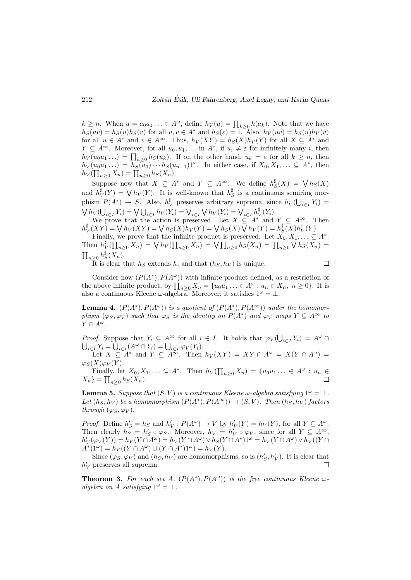$k \geq n$ . When  $u = a_0 a_1 \ldots \in A^{\omega}$ , define  $h_V(u) = \prod_{k \geq 0} h(a_k)$ . Note that we have  $h_S(uv) = h_S(u)h_S(v)$  for all  $u, v \in A^*$  and  $h_S(\varepsilon) = 1$ . Also,  $h_V(uv) = h_S(u)h_V(v)$ for all  $u \in A^*$  and  $v \in A^{\infty}$ . Thus,  $h_V(XY) = h_S(X)h_V(Y)$  for all  $X \subseteq A^*$  and  $Y \subseteq A^{\infty}$ . Moreover, for all  $u_0, u_1, \ldots$  in  $A^*$ , if  $u_i \neq \varepsilon$  for infinitely many i, then  $h_V(u_0u_1\ldots) = \prod_{k\geq 0} h_S(u_k)$ . If on the other hand,  $u_k = \varepsilon$  for all  $k \geq n$ , then  $h_V(u_0u_1\ldots) = h_S(u_0)\cdots h_S(u_{n-1})1^\omega$ . In either case, if  $X_0, X_1, \ldots \subseteq A^*$ , then  $h_V(\prod_{n\geq 0} X_n) = \prod_{n\geq 0} h_S(X_n).$ 

Suppose now that  $X \subseteq A^*$  and  $Y \subseteq A^{\infty}$ . We define  $h_S^{\sharp}(X) = \bigvee h_S(X)$ and  $h_V^{\sharp}(Y) = \bigvee h_V(Y)$ . It is well-known that  $h_S^{\sharp}$  is a continuous semiring morphism  $P(A^*) \to S$ . Also,  $h_V^{\sharp}$  preserves arbitrary suprema, since  $h_V^{\sharp}(\bigcup_{i \in I} Y_i) =$  $\bigvee h_V(\bigcup_{i \in I} Y_i) = \bigvee \bigcup_{i \in I} h_V(Y_i) = \bigvee_{i \in I} \bigvee h_V(Y_i) = \bigvee_{i \in I} h_V^{\sharp}(Y_i).$ 

We prove that the action is preserved. Let  $X \subseteq A^*$  and  $Y \subseteq A^{\infty}$ . Then  $h_V^{\sharp}(XY) = \bigvee h_V(XY) = \bigvee h_S(X)h_V(Y) = \bigvee h_S(X)\bigvee h_V(Y) = h_S^{\sharp}(X)h_V^{\sharp}(Y).$ 

Finally, we prove that the infinite product is preserved. Let  $\tilde{X_0}, X_1, \ldots \subseteq A^*$ . Then  $h_V^{\sharp}(\prod_{n\geq 0} X_n) = \bigvee h_V(\prod_{n\geq 0} X_n) = \bigvee \prod_{n\geq 0} h_S(X_n) = \prod_{n\geq 0} \bigvee h_S(X_n) =$  $\prod_{n\geq 0} h_S^{\sharp}(X_n)$ .  $\Box$ 

It is clear that  $h<sub>S</sub>$  extends h, and that  $(h<sub>S</sub>, h<sub>V</sub>)$  is unique.

Consider now  $(P(A^*), P(A^{\omega}))$  with infinite product defined, as a restriction of the above infinite product, by  $\prod_{n\geq 0} X_n = \{u_0u_1\ldots\in A^{\omega} : u_n\in X_n, n\geq 0\}$ . It is also a continuous Kleene  $\omega$ -algebra. Moreover, it satisfies  $1^{\omega} = \bot$ .

**Lemma 4.**  $(P(A^*), P(A^{\omega}))$  is a quotient of  $(P(A^*), P(A^{\infty}))$  under the homomorphism  $(\varphi_S, \varphi_V)$  such that  $\varphi_S$  is the identity on  $P(A^*)$  and  $\varphi_V$  maps  $Y \subseteq A^{\infty}$  to  $Y \cap A^{\omega}$ .

*Proof.* Suppose that  $Y_i \subseteq A^{\infty}$  for all  $i \in I$ . It holds that  $\varphi_V(\bigcup_{i \in I} Y_i) = A^{\omega} \cap$  $\bigcup_{i\in I} Y_i = \bigcup_{i\in I} (A^\omega \cap Y_i) = \bigcup_{i\in I} \varphi_V(Y_i).$ Let  $X \subseteq A^*$  and  $Y \subseteq A^{\infty}$ . Then  $h_V(XY) = XY \cap A^{\omega} = X(Y \cap A^{\omega}) =$ 

 $\varphi_S(X)\varphi_V(Y)$ .

Finally, let  $X_0, X_1, \ldots \subseteq A^*$ . Then  $h_V(\prod_{n\geq 0} X_n) = \{u_0u_1\ldots \in A^{\omega}: u_n \in$  $X_n$ } =  $\prod_{n\geq 0} h_S(X_n)$ .

**Lemma 5.** Suppose that  $(S, V)$  is a continuous Kleene  $\omega$ -algebra satisfying  $1^{\omega} = \bot$ . Let  $(h_S, h_V)$  be a homomorphism  $(P(A^*), P(A^{\infty})) \rightarrow (S, V)$ . Then  $(h_S, h_V)$  factors through  $(\varphi_S, \varphi_V)$ .

*Proof.* Define  $h'_S = h_S$  and  $h'_V : P(A^{\omega}) \to V$  by  $h'_V(Y) = h_V(Y)$ , for all  $Y \subseteq A^{\omega}$ . Then clearly  $h_S = h'_S \circ \varphi_S$ . Moreover,  $h_V = h'_V \circ \varphi_V$ , since for all  $Y \subseteq A^{\infty}$ ,  $h'_V(\varphi_V(Y)) = h_V(Y \cap A^{\omega}) = h_V(Y \cap A^{\omega}) \vee h_S(Y \cap A^*)1^{\omega} = h_V(Y \cap A^{\omega}) \vee h_V((Y \cap A^*)1^{\omega})$  $A^*$ ) $1^{\omega}$ ) =  $h_V((Y \cap A^{\omega}) \cup (Y \cap A^*)1^{\omega}) = h_V(Y)$ .

Since  $(\varphi_S, \varphi_V)$  and  $(h_S, h_V)$  are homomorphisms, so is  $(h'_S, h'_V)$ . It is clear that  $h^{\prime}_{V}$  preserves all suprema.  $\Box$ 

**Theorem 3.** For each set A,  $(P(A^*), P(A^{\omega}))$  is the free continuous Kleene  $\omega$ algebra on A satisfying  $1^{\omega} = \bot$ .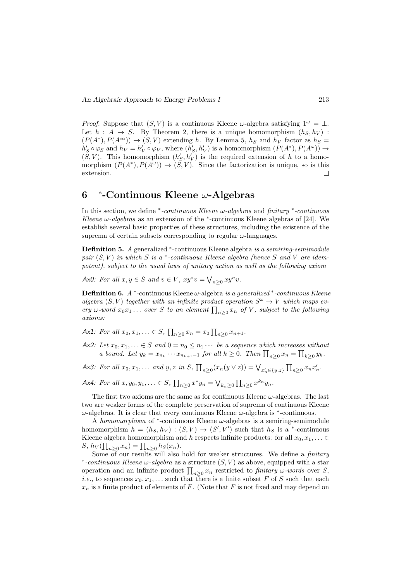*Proof.* Suppose that  $(S, V)$  is a continuous Kleene  $\omega$ -algebra satisfying  $1^{\omega} = \bot$ . Let  $h : A \rightarrow S$ . By Theorem 2, there is a unique homomorphism  $(h_S, h_V)$ :  $(P(A^*), P(A^{\infty})) \to (S, V)$  extending h. By Lemma 5, h<sub>S</sub> and h<sub>V</sub> factor as h<sub>S</sub> =  $h'_S \circ \varphi_S$  and  $h_V = h'_V \circ \varphi_V$ , where  $(h'_S, h'_V)$  is a homomorphism  $(P(A^*), P(A^{\omega})) \to$  $(S, V)$ . This homomorphism  $(h'_{S}, h'_{V})$  is the required extension of h to a homomorphism  $(P(A^*), P(A^{\omega})) \rightarrow (S, V)$ . Since the factorization is unique, so is this extension. Г

#### 6 ∗ -Continuous Kleene ω-Algebras

In this section, we define \*-continuous Kleene ω-algebras and finitary \*-continuous Kleene  $\omega$ -algebras as an extension of the  $*$ -continuous Kleene algebras of [24]. We establish several basic properties of these structures, including the existence of the suprema of certain subsets corresponding to regular  $\omega$ -languages.

Definition 5. A generalized \*-continuous Kleene algebra is a semiring-semimodule pair  $(S, V)$  in which S is a  $*$ -continuous Kleene algebra (hence S and V are idempotent), subject to the usual laws of unitary action as well as the following axiom

Ax0: For all  $x, y \in S$  and  $v \in V$ ,  $xy^*v = \bigvee_{n \geq 0} xy^n v$ .

**Definition 6.**  $A^*$ -continuous Kleene  $\omega$ -algebra is a generalized  $*$ -continuous Kleene algebra  $(S, V)$  together with an infinite product operation  $S^{\omega} \to V$  which maps every  $\omega$ -word  $x_0x_1 \ldots$  over S to an element  $\prod_{n\geq 0} x_n$  of V, subject to the following axioms:

Ax1: For all  $x_0, x_1, \ldots \in S$ ,  $\prod_{n \geq 0} x_n = x_0 \prod_{n \geq 0} x_{n+1}$ .

- Ax2: Let  $x_0, x_1, \ldots \in S$  and  $0 = n_0 \leq n_1 \cdots$  be a sequence which increases without a bound. Let  $y_k = x_{n_k} \cdots x_{n_{k+1}-1}$  for all  $k \geq 0$ . Then  $\prod_{n \geq 0} x_n = \prod_{k \geq 0} y_k$ .
- Ax3: For all  $x_0, x_1, \ldots$  and  $y, z$  in  $S$ ,  $\prod_{n\geq 0} (x_n(y \vee z)) = \bigvee_{x'_n \in \{y, z\}} \prod_{n\geq 0} x_n x'_n$ .
- Ax4: For all  $x, y_0, y_1, ... \in S$ ,  $\prod_{n\geq 0} x^* y_n = \bigvee_{k_n \geq 0} \prod_{n\geq 0} x^{k_n} y_n$ .

The first two axioms are the same as for continuous Kleene  $\omega$ -algebras. The last two are weaker forms of the complete preservation of suprema of continuous Kleene  $\omega$ -algebras. It is clear that every continuous Kleene  $\omega$ -algebra is  $*$ -continuous.

A homomorphism of  $*$ -continuous Kleene  $\omega$ -algebras is a semiring-semimodule homomorphism  $h = (h_S, h_V) : (S, V) \to (S', V')$  such that  $h_S$  is a \*-continuous Kleene algebra homomorphism and h respects infinite products: for all  $x_0, x_1, \ldots \in$ S,  $h_V(\prod_{n\geq 0}x_n) = \prod_{n\geq 0}h_S(x_n)$ .

Some  $\overline{of}$  our results will also hold for weaker structures. We define a *finitary* \*-continuous Kleene  $\omega$ -algebra as a structure  $(S, V)$  as above, equipped with a star operation and an infinite product  $\prod_{n\geq 0} x_n$  restricted to finitary  $\omega$ -words over S, *i.e.*, to sequences  $x_0, x_1, \ldots$  such that there is a finite subset F of S such that each  $x_n$  is a finite product of elements of F. (Note that F is not fixed and may depend on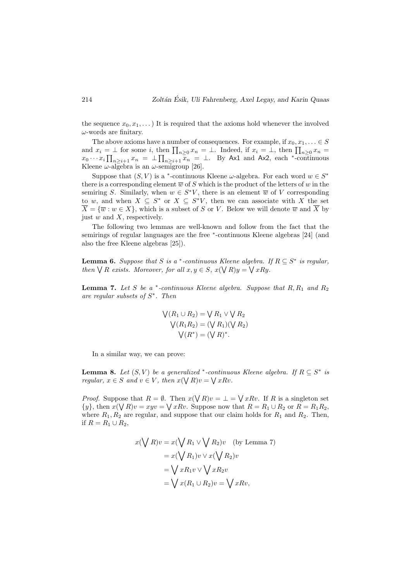the sequence  $x_0, x_1, \ldots$ ) It is required that the axioms hold whenever the involved  $\omega$ -words are finitary.

The above axioms have a number of consequences. For example, if  $x_0, x_1, \ldots \in S$ and  $x_i = \perp$  for some i, then  $\prod_{n\geq 0} x_n = \perp$ . Indeed, if  $x_i = \perp$ , then  $\prod_{n\geq 0} x_n =$  $x_0 \cdots x_i \prod_{n \geq i+1} x_n = \perp \prod_{n \geq i+1} \overline{x_n} = \perp$ . By Ax1 and Ax2, each \*-continuous Kleene  $\omega$ -algebra is an  $\omega$ -semigroup [26].

Suppose that  $(S, V)$  is a <sup>\*</sup>-continuous Kleene  $\omega$ -algebra. For each word  $w \in S^*$ there is a corresponding element  $\overline{w}$  of S which is the product of the letters of w in the semiring S. Similarly, when  $w \in S^*V$ , there is an element  $\overline{w}$  of V corresponding to w, and when  $X \subseteq S^*$  or  $X \subseteq S^*V$ , then we can associate with X the set  $\overline{X} = {\overline{w}: w \in X}$ , which is a subset of S or V. Below we will denote  $\overline{w}$  and  $\overline{X}$  by just  $w$  and  $X$ , respectively.

The following two lemmas are well-known and follow from the fact that the semirings of regular languages are the free <sup>∗</sup>-continuous Kleene algebras [24] (and also the free Kleene algebras [25]).

**Lemma 6.** Suppose that S is a \*-continuous Kleene algebra. If  $R \subseteq S^*$  is regular, then  $\bigvee R$  exists. Moreover, for all  $x, y \in S$ ,  $x(\bigvee R)y = \bigvee xRy$ .

**Lemma 7.** Let S be a  $*$ -continuous Kleene algebra. Suppose that  $R$ ,  $R_1$  and  $R_2$ are regular subsets of  $S^*$ . Then

$$
\begin{aligned} \n\bigvee (R_1 \cup R_2) &= \bigvee R_1 \vee \bigvee R_2 \\ \n\bigvee (R_1 R_2) &= (\bigvee R_1)(\bigvee R_2) \\ \n\bigvee (R^*) &= (\bigvee R)^* . \n\end{aligned}
$$

In a similar way, we can prove:

**Lemma 8.** Let  $(S, V)$  be a generalized \*-continuous Kleene algebra. If  $R \subseteq S^*$  is regular,  $x \in S$  and  $v \in V$ , then  $x(\bigvee R)v = \bigvee xRv$ .

*Proof.* Suppose that  $R = \emptyset$ . Then  $x(\bigvee R)v = \bot = \bigvee xRv$ . If R is a singleton set  $\{y\}$ , then  $x(\bigvee R)v = x yv = \bigvee x Rv$ . Suppose now that  $R = R_1 \cup R_2$  or  $R = R_1 R_2$ , where  $R_1, R_2$  are regular, and suppose that our claim holds for  $R_1$  and  $R_2$ . Then, if  $R = R_1 \cup R_2$ ,

$$
x(\bigvee R)v = x(\bigvee R_1 \vee \bigvee R_2)v \quad \text{(by Lemma 7)}
$$

$$
= x(\bigvee R_1)v \vee x(\bigvee R_2)v
$$

$$
= \bigvee xR_1v \vee \bigvee xR_2v
$$

$$
= \bigvee x(R_1 \cup R_2)v = \bigvee xRv,
$$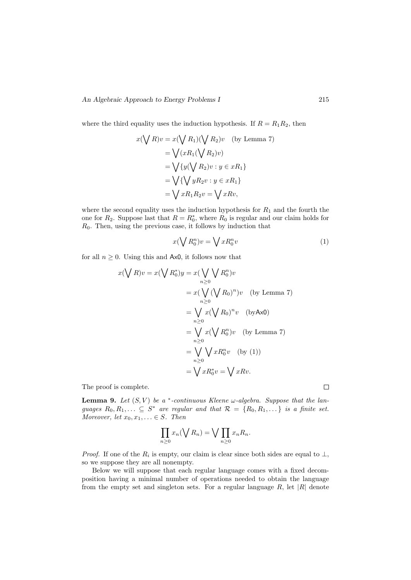where the third equality uses the induction hypothesis. If  $R = R_1 R_2$ , then

$$
x(\bigvee R)v = x(\bigvee R_1)(\bigvee R_2)v \quad \text{(by Lemma 7)}
$$

$$
= \bigvee (xR_1(\bigvee R_2)v)
$$

$$
= \bigvee \{y(\bigvee R_2)v : y \in xR_1\}
$$

$$
= \bigvee \{\bigvee yR_2v : y \in xR_1\}
$$

$$
= \bigvee xR_1R_2v = \bigvee xRv,
$$

where the second equality uses the induction hypothesis for  $R_1$  and the fourth the one for  $R_2$ . Suppose last that  $R = R_0^*$ , where  $R_0$  is regular and our claim holds for  $R<sub>0</sub>$ . Then, using the previous case, it follows by induction that

$$
x(\bigvee R_0^n)v = \bigvee xR_0^n v \tag{1}
$$

for all  $n \geq 0$ . Using this and Ax0, it follows now that

$$
x(\bigvee R)v = x(\bigvee R_0^*)y = x(\bigvee_{n \geq 0} R_0^n)v
$$
  
=  $x(\bigvee_{n \geq 0} (\bigvee R_0)^n)v$  (by Lemma 7)  
=  $\bigvee_{n \geq 0} x(\bigvee R_0)^n v$  (byAx0)  
=  $\bigvee_{n \geq 0} x(\bigvee R_0^n)v$  (by Lemma 7)  
=  $\bigvee_{n \geq 0} \bigvee xR_0^n v$  (by (1))  
=  $\bigvee_{n \geq 0} xR_0^*v = \bigvee xRv$ .

The proof is complete.

**Lemma 9.** Let  $(S, V)$  be a  $*$ -continuous Kleene  $\omega$ -algebra. Suppose that the languages  $R_0, R_1, \ldots \subseteq S^*$  are regular and that  $\mathcal{R} = \{R_0, R_1, \ldots \}$  is a finite set. Moreover, let  $x_0, x_1, \ldots \in S$ . Then

$$
\prod_{n\geq 0} x_n(\bigvee R_n) = \bigvee \prod_{n\geq 0} x_n R_n.
$$

*Proof.* If one of the  $R_i$  is empty, our claim is clear since both sides are equal to  $\perp$ , so we suppose they are all nonempty.

Below we will suppose that each regular language comes with a fixed decomposition having a minimal number of operations needed to obtain the language from the empty set and singleton sets. For a regular language  $R$ , let  $|R|$  denote

 $\Box$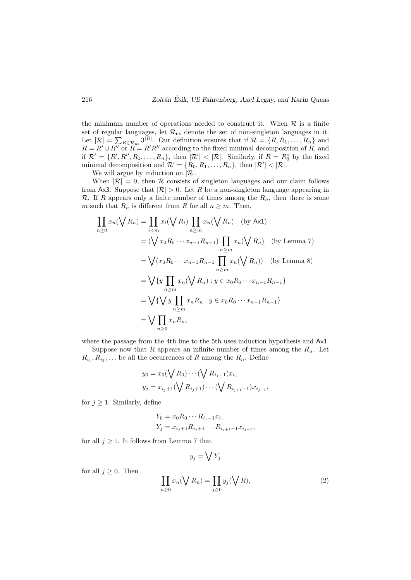the minimum number of operations needed to construct it. When  $R$  is a finite set of regular languages, let  $\mathcal{R}_{ns}$  denote the set of non-singleton languages in it. Let  $|\mathcal{R}| = \sum_{R \in \mathcal{R}_{\text{ns}}} 3^{|R|}$ . Our definition ensures that if  $\mathcal{R} = \{R, R_1, \ldots, R_n\}$  and  $R = R' \cup R''$  or  $R = R'R''$  according to the fixed minimal decomposition of R, and if  $\mathcal{R}' = \{R', R'', R_1, \ldots, R_n\}$ , then  $|\mathcal{R}'| < |\mathcal{R}|$ . Similarly, if  $R = R_0^*$  by the fixed minimal decomposition and  $\mathcal{R}' = \{R_0, R_1, \ldots, R_n\}$ , then  $|\mathcal{R}'| < |\mathcal{R}|$ .

We will argue by induction on  $|\mathcal{R}|$ .

When  $|\mathcal{R}| = 0$ , then R consists of singleton languages and our claim follows from Ax3. Suppose that  $|\mathcal{R}| > 0$ . Let R be a non-singleton language appearing in R. If R appears only a finite number of times among the  $R_n$ , then there is some m such that  $R_n$  is different from R for all  $n \geq m$ . Then,

$$
\prod_{n\geq 0} x_n (\bigvee R_n) = \prod_{i < m} x_i (\bigvee R_i) \prod_{n\geq m} x_n (\bigvee R_n) \quad \text{(by Ax1)}
$$
\n
$$
= (\bigvee x_0 R_0 \cdots x_{n-1} R_{n-1}) \prod_{n\geq m} x_n (\bigvee R_n) \quad \text{(by Lemma 7)}
$$
\n
$$
= \bigvee (x_0 R_0 \cdots x_{n-1} R_{n-1} \prod_{n\geq m} x_n (\bigvee R_n)) \quad \text{(by Lemma 8)}
$$
\n
$$
= \bigvee \{ y \prod_{n\geq m} x_n (\bigvee R_n) : y \in x_0 R_0 \cdots x_{n-1} R_{n-1} \}
$$
\n
$$
= \bigvee \{ \bigvee y \prod_{n\geq m} x_n R_n : y \in x_0 R_0 \cdots x_{n-1} R_{n-1} \}
$$
\n
$$
= \bigvee \prod_{n\geq 0} x_n R_n,
$$

where the passage from the 4th line to the 5th uses induction hypothesis and Ax1.

Suppose now that R appears an infinite number of times among the  $R_n$ . Let  $R_{i_1}, R_{i_2}, \ldots$  be all the occurrences of R among the  $R_n$ . Define  $\ddot{\phantom{0}}$ 

$$
y_0 = x_0(\bigvee R_0) \cdots (\bigvee R_{i_1-1}) x_{i_1}
$$
  

$$
y_j = x_{i_j+1}(\bigvee R_{i_j+1}) \cdots (\bigvee R_{i_{j+1}-1}) x_{i_{j+1}},
$$

for  $j \geq 1$ . Similarly, define

for all  $j \geq 0$ . Then

$$
Y_0 = x_0 R_0 \cdots R_{i_1 - 1} x_{i_1}
$$
  
\n
$$
Y_j = x_{i_j + 1} R_{i_j + 1} \cdots R_{i_{j+1} - 1} x_{i_{j+1}},
$$

for all  $j \geq 1$ . It follows from Lemma 7 that

$$
y_j = \bigvee Y_j
$$
  

$$
\prod_{n \ge 0} x_n (\bigvee R_n) = \prod_{j \ge 0} y_j (\bigvee R),
$$
 (2)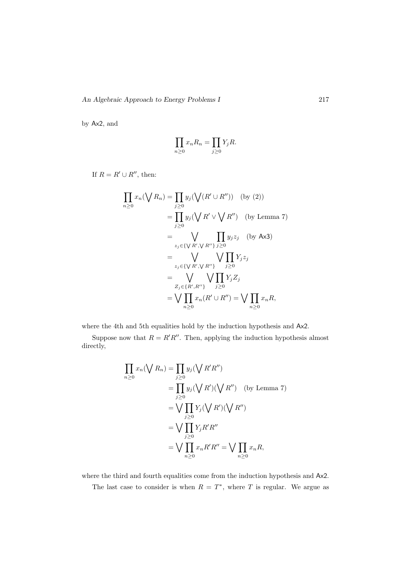by Ax2, and

$$
\prod_{n\geq 0} x_n R_n = \prod_{j\geq 0} Y_j R.
$$

If  $R = R' \cup R''$ , then:

$$
\prod_{n\geq 0} x_n(\bigvee R_n) = \prod_{j\geq 0} y_j(\bigvee (R' \cup R'')) \quad \text{(by (2))}
$$
\n
$$
= \prod_{j\geq 0} y_j(\bigvee R' \vee \bigvee R'') \quad \text{(by Lemma 7)}
$$
\n
$$
= \bigvee_{z_j \in \{\bigvee R', \bigvee R''\}} \prod_{j\geq 0} y_j z_j \quad \text{(by Ax3)}
$$
\n
$$
= \bigvee_{z_j \in \{\bigvee R', \bigvee R''\}} \bigvee_{j\geq 0} Y_j z_j
$$
\n
$$
= \bigvee_{Z_j \in \{R', R''\}} \bigvee_{j\geq 0} Y_j Z_j
$$
\n
$$
= \bigvee_{n\geq 0} \prod_{n\geq 0} x_n(R' \cup R'') = \bigvee \prod_{n\geq 0} x_n R,
$$

where the 4th and 5th equalities hold by the induction hypothesis and Ax2.

Suppose now that  $R = R'R''$ . Then, applying the induction hypothesis almost directly,

$$
\prod_{n\geq 0} x_n(\bigvee R_n) = \prod_{j\geq 0} y_j(\bigvee R'R'')
$$
\n
$$
= \prod_{j\geq 0} y_j(\bigvee R')(\bigvee R'') \quad \text{(by Lemma 7)}
$$
\n
$$
= \bigvee_{j\geq 0} \prod_{j\geq 0} Y_j(\bigvee R')(\bigvee R'')
$$
\n
$$
= \bigvee_{j\geq 0} \prod_{j\geq 0} Y_jR'R''
$$
\n
$$
= \bigvee \prod_{n\geq 0} x_nR'R'' = \bigvee \prod_{n\geq 0} x_nR,
$$

where the third and fourth equalities come from the induction hypothesis and Ax2.

The last case to consider is when  $R = T^*$ , where T is regular. We argue as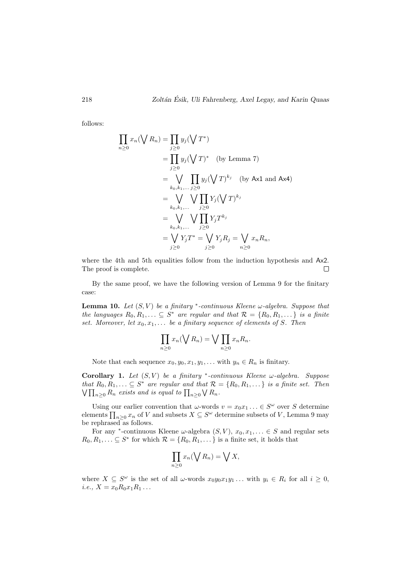follows:

$$
\prod_{n\geq 0} x_n(\bigvee R_n) = \prod_{j\geq 0} y_j(\bigvee T^*)
$$
\n
$$
= \prod_{j\geq 0} y_j(\bigvee T)^* \quad \text{(by Lemma 7)}
$$
\n
$$
= \bigvee_{k_0, k_1, \dots, j\geq 0} \prod_{j\geq 0} y_j(\bigvee T)^{k_j} \quad \text{(by Ax1 and Ax4)}
$$
\n
$$
= \bigvee_{k_0, k_1, \dots, j\geq 0} \bigvee_{j\geq 0} \prod_{j\geq 0} Y_j T^{k_j}
$$
\n
$$
= \bigvee_{j\geq 0} \bigvee_{j\geq 0} Y_j T^* = \bigvee_{j\geq 0} Y_j R_j = \bigvee_{n\geq 0} x_n R_n,
$$

where the 4th and 5th equalities follow from the induction hypothesis and  $Ax2$ . The proof is complete.  $\Box$ 

By the same proof, we have the following version of Lemma 9 for the finitary case:

**Lemma 10.** Let  $(S, V)$  be a finitary \*-continuous Kleene  $\omega$ -algebra. Suppose that the languages  $R_0, R_1, \ldots \subseteq S^*$  are regular and that  $\mathcal{R} = \{R_0, R_1, \ldots\}$  is a finite set. Moreover, let  $x_0, x_1, \ldots$  be a finitary sequence of elements of S. Then

$$
\prod_{n\geq 0} x_n(\bigvee R_n) = \bigvee \prod_{n\geq 0} x_n R_n.
$$

Note that each sequence  $x_0, y_0, x_1, y_1, \ldots$  with  $y_n \in R_n$  is finitary.

Corollary 1. Let  $(S, V)$  be a finitary \*-continuous Kleene  $\omega$ -algebra. Suppose that  $R_0, R_1, \ldots \subseteq S^*$  are regular and that  $\mathcal{R} = \{R_0, R_1, \ldots\}$  is a finite set. Then  $\bigvee \prod_{n\geq 0} R_n$  exists and is equal to  $\prod_{n\geq 0} \bigvee R_n$ .

Using our earlier convention that  $\omega$ -words  $v = x_0 x_1 ... \in S^{\omega}$  over S determine elements  $\prod_{n\geq 0} x_n$  of V and subsets  $X \subseteq S^{\omega}$  determine subsets of V, Lemma 9 may be rephrased as follows.

For any <sup>\*</sup>-continuous Kleene  $\omega$ -algebra  $(S, V)$ ,  $x_0, x_1, \ldots \in S$  and regular sets  $R_0, R_1, \ldots \subseteq S^*$  for which  $\mathcal{R} = \{R_0, R_1, \ldots\}$  is a finite set, it holds that

$$
\prod_{n\geq 0} x_n(\bigvee R_n) = \bigvee X,
$$

where  $X \subseteq S^{\omega}$  is the set of all  $\omega$ -words  $x_0y_0x_1y_1...$  with  $y_i \in R_i$  for all  $i \geq 0$ , *i.e.*,  $X = x_0 R_0 x_1 R_1 \dots$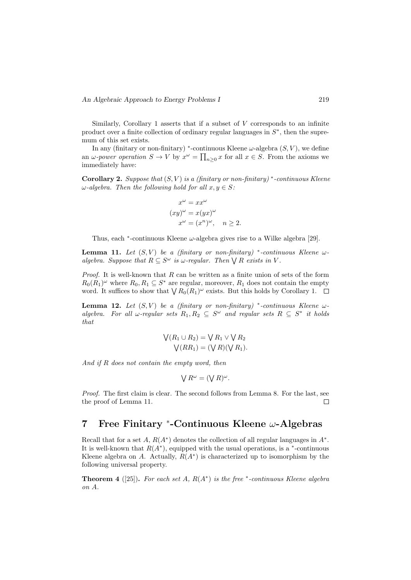Similarly, Corollary 1 asserts that if a subset of  $V$  corresponds to an infinite product over a finite collection of ordinary regular languages in  $S^*$ , then the supremum of this set exists.

In any (finitary or non-finitary) \*-continuous Kleene  $\omega$ -algebra  $(S, V)$ , we define an  $\omega$ -power operation  $S \to V$  by  $x^{\omega} = \prod_{n \geq 0} x$  for all  $x \in S$ . From the axioms we immediately have:

Corollary 2. Suppose that  $(S, V)$  is a (finitary or non-finitary)<sup>\*</sup>-continuous Kleene  $\omega$ -algebra. Then the following hold for all  $x, y \in S$ :

$$
x^{\omega} = xx^{\omega}
$$
  
\n
$$
(xy)^{\omega} = x(yx)^{\omega}
$$
  
\n
$$
x^{\omega} = (x^n)^{\omega}, \quad n \ge 2.
$$

Thus, each  $*$ -continuous Kleene  $\omega$ -algebra gives rise to a Wilke algebra [29].

**Lemma 11.** Let  $(S, V)$  be a (finitary or non-finitary) \*-continuous Kleene  $\omega$ algebra. Suppose that  $R \subseteq S^{\omega}$  is  $\omega$ -regular. Then  $\bigvee R$  exists in V.

*Proof.* It is well-known that  $R$  can be written as a finite union of sets of the form  $R_0(R_1)^\omega$  where  $R_0, R_1 \subseteq S^*$  are regular, moreover,  $R_1$  does not contain the empty word. It suffices to show that  $\bigvee R_0(R_1)^\omega$  exists. But this holds by Corollary 1.

**Lemma 12.** Let  $(S, V)$  be a (finitary or non-finitary) \*-continuous Kleene  $\omega$ algebra. For all  $\omega$ -regular sets  $R_1, R_2 \subseteq S^{\omega}$  and regular sets  $R \subseteq S^*$  it holds that

$$
\bigvee(R_1 \cup R_2) = \bigvee R_1 \vee \bigvee R_2
$$
  

$$
\bigvee (RR_1) = (\bigvee R)(\bigvee R_1).
$$

And if R does not contain the empty word, then

$$
\bigvee R^{\omega} = (\bigvee R)^{\omega}.
$$

Proof. The first claim is clear. The second follows from Lemma 8. For the last, see the proof of Lemma 11.  $\Box$ 

## 7 Free Finitary <sup>∗</sup> -Continuous Kleene ω-Algebras

Recall that for a set A,  $R(A^*)$  denotes the collection of all regular languages in  $A^*$ . It is well-known that  $R(A^*)$ , equipped with the usual operations, is a  $*$ -continuous Kleene algebra on A. Actually,  $R(A^*)$  is characterized up to isomorphism by the following universal property.

**Theorem 4** ([25]). For each set A,  $R(A^*)$  is the free  $*$ -continuous Kleene algebra on A.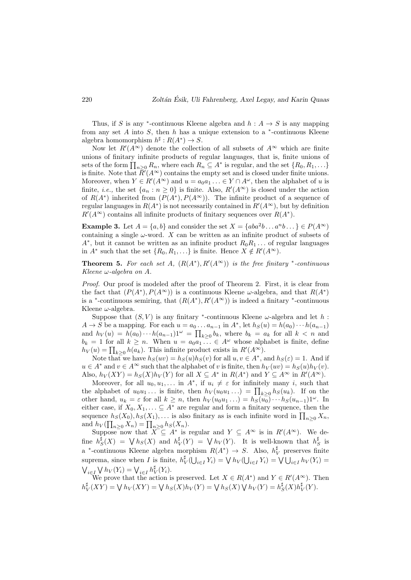Thus, if S is any <sup>\*</sup>-continuous Kleene algebra and  $h: A \rightarrow S$  is any mapping from any set  $A$  into  $S$ , then  $h$  has a unique extension to a  $*$ -continuous Kleene algebra homomorphism  $h^{\sharp}: R(A^*) \to S$ .

Now let  $R'(A^{\infty})$  denote the collection of all subsets of  $A^{\infty}$  which are finite unions of finitary infinite products of regular languages, that is, finite unions of sets of the form  $\prod_{n\geq 0} R_n$ , where each  $R_n \subseteq A^*$  is regular, and the set  $\{R_0, R_1, \ldots\}$ is finite. Note that  $\bar{R}'(A^{\infty})$  contains the empty set and is closed under finite unions. Moreover, when  $Y \in R'(A^{\infty})$  and  $u = a_0 a_1 ... \in Y \cap A^{\omega}$ , then the alphabet of u is finite, *i.e.*, the set  $\{a_n : n \geq 0\}$  is finite. Also,  $R'(A^{\infty})$  is closed under the action of  $R(A^*)$  inherited from  $(P(A^*), P(A^{\infty}))$ . The infinite product of a sequence of regular languages in  $R(A^*)$  is not necessarily contained in  $R'(A^{\infty})$ , but by definition  $R'(A^{\infty})$  contains all infinite products of finitary sequences over  $R(A^*)$ .

**Example 3.** Let  $A = \{a, b\}$  and consider the set  $X = \{aba^2b \dots a^n b \dots \} \in P(A^\infty)$ containing a single  $\omega$ -word. X can be written as an infinite product of subsets of  $A^*$ , but it cannot be written as an infinite product  $R_0R_1 \ldots$  of regular languages in  $A^*$  such that the set  $\{R_0, R_1, \ldots\}$  is finite. Hence  $X \notin R'(A^{\infty})$ .

**Theorem 5.** For each set A,  $(R(A^*), R'(A^{\infty}))$  is the free finitary \*-continuous Kleene  $\omega$ -algebra on A.

Proof. Our proof is modeled after the proof of Theorem 2. First, it is clear from the fact that  $(P(A^*), P(A^{\infty}))$  is a continuous Kleene  $\omega$ -algebra, and that  $R(A^*)$ is a <sup>\*</sup>-continuous semiring, that  $(R(A^*), R'(A^{\infty}))$  is indeed a finitary <sup>\*</sup>-continuous Kleene  $\omega$ -algebra.

Suppose that  $(S, V)$  is any finitary <sup>\*</sup>-continuous Kleene  $\omega$ -algebra and let h:  $A \to S$  be a mapping. For each  $u = a_0 \dots a_{n-1}$  in  $A^*$ , let  $h_S(u) = h(a_0) \cdots h(a_{n-1})$ and  $h_V(u) = h(a_0) \cdots h(a_{n-1})1^{\omega} = \prod_{k \geq 0} b_k$ , where  $b_k = a_k$  for all  $k < n$  and  $b_k = 1$  for all  $k \geq n$ . When  $u = a_0 a_1 \dots \in A^{\omega}$  whose alphabet is finite, define  $h_V(u) = \prod_{k \geq 0} h(a_k)$ . This infinite product exists in  $R'(A^{\infty})$ .

Note that we have  $h_S(uv) = h_S(u)h_S(v)$  for all  $u, v \in A^*$ , and  $h_S(\varepsilon) = 1$ . And if  $u \in A^*$  and  $v \in A^{\infty}$  such that the alphabet of v is finite, then  $h_V(uv) = h_S(u)h_V(v)$ . Also,  $h_V(XY) = h_S(X)h_V(Y)$  for all  $X \subseteq A^*$  in  $R(A^*)$  and  $Y \subseteq A^\infty$  in  $R'(A^\infty)$ .

Moreover, for all  $u_0, u_1, \ldots$  in  $A^*$ , if  $u_i \neq \varepsilon$  for infinitely many *i*, such that the alphabet of  $u_0u_1...$  is finite, then  $h_V(u_0u_1...) = \prod_{k\geq 0} h_S(u_k)$ . If on the other hand,  $u_k = \varepsilon$  for all  $k \geq n$ , then  $h_V(u_0u_1 \ldots) = h_S(u_0) \cdots h_S(u_{n-1})1^\omega$ . In either case, if  $X_0, X_1, \ldots \subseteq A^*$  are regular and form a finitary sequence, then the sequence  $h_S(X_0), h_S(X_1), \ldots$  is also finitary as is each infinite word in  $\prod_{n\geq 0} X_n$ , and  $h_V(\prod_{n\geq 0} X_n) = \prod_{n\geq 0} h_S(X_n)$ .

Suppose now that  $\widetilde{X} \subseteq A^*$  is regular and  $Y \subseteq A^{\infty}$  is in  $R'(A^{\infty})$ . We de-<br> $A^{\sharp}(Y) = \lambda A (Y)$  and  $A^{\sharp}(Y) = \lambda A (Y)$ . It is well known that  $A^{\sharp}$  is fine  $h_S^{\sharp}(X) = \bigvee h_S(X)$  and  $h_V^{\sharp}(Y) = \bigvee h_V(Y)$ . It is well-known that  $h_S^{\sharp}$  is a <sup>\*</sup>-continuous Kleene algebra morphism  $R(A^*) \to S$ . Also,  $h_V^{\sharp}$  preserves finite suprema, since when I is finite,  $h_V^{\sharp}(\bigcup_{i \in I} Y_i) = \bigvee h_V(\bigcup_{i \in I} Y_i) = \bigvee \bigcup_{i \in I} h_V(Y_i) =$  $\bigvee_{i\in I} \bigvee h_V(Y_i) = \bigvee_{i\in I} h_V^{\sharp}(Y_i).$ 

We prove that the action is preserved. Let  $X \in R(A^*)$  and  $Y \in R'(A^{\infty})$ . Then  $h_V^{\sharp}(XY) = \bigvee h_V(XY) = \bigvee h_S(X)h_V(Y) = \bigvee h_S(X)\bigvee h_V(Y) = h_S^{\sharp}(X)h_V^{\sharp}(Y).$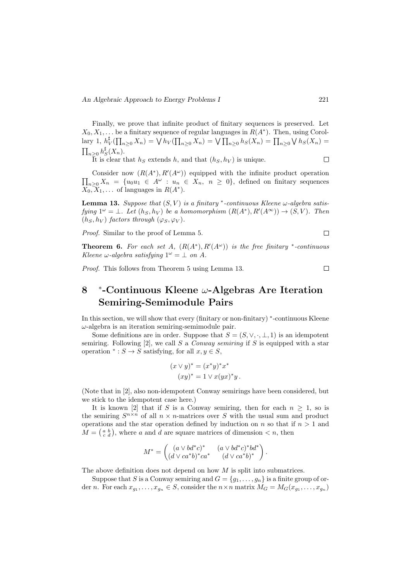Finally, we prove that infinite product of finitary sequences is preserved. Let  $X_0, X_1, \ldots$  be a finitary sequence of regular languages in  $R(A^*)$ . Then, using Corollary 1,  $h_V^{\sharp}(\prod_{n\geq 0} X_n) = \bigvee h_V(\prod_{n\geq 0} X_n) = \bigvee \prod_{n\geq 0} h_S(X_n) = \prod_{n\geq 0} \bigvee h_S(X_n) =$  $\prod_{n\geq 0} h_S^{\sharp}(X_n)$ .  $\Box$ 

It is clear that  $h<sub>S</sub>$  extends h, and that  $(h<sub>S</sub>, h<sub>V</sub>)$  is unique.

Consider now  $(R(A^*), R'(A^{\omega}))$  equipped with the infinite product operation  $\prod_{n\geq 0} X_n = \{u_0u_1 \in A^{\omega} : u_n \in X_n, n \geq 0\}$ , defined on finitary sequences  $X_0, X_1, \ldots$  of languages in  $R(A^*)$ .

**Lemma 13.** Suppose that  $(S, V)$  is a finitary \*-continuous Kleene  $\omega$ -algebra satisfying  $1^{\omega} = \bot$ . Let  $(h_S, h_V)$  be a homomorphism  $(R(A^*), R'(A^{\infty})) \to (S, V)$ . Then  $(h_S, h_V)$  factors through  $(\varphi_S, \varphi_V)$ .

Proof. Similar to the proof of Lemma 5.

**Theorem 6.** For each set A,  $(R(A^*), R'(A^{\omega}))$  is the free finitary \*-continuous Kleene  $\omega$ -algebra satisfying  $1^\omega = \bot$  on A.

Proof. This follows from Theorem 5 using Lemma 13.

#### 8 ∗ -Continuous Kleene ω-Algebras Are Iteration Semiring-Semimodule Pairs

In this section, we will show that every (finitary or non-finitary) <sup>∗</sup> -continuous Kleene  $\omega$ -algebra is an iteration semiring-semimodule pair.

Some definitions are in order. Suppose that  $S = (S, \vee, \cdot, \perp, 1)$  is an idempotent semiring. Following  $[2]$ , we call S a Conway semiring if S is equipped with a star operation  $\ast : S \to S$  satisfying, for all  $x, y \in S$ ,

$$
(x \vee y)^* = (x^*y)^*x^*
$$

$$
(xy)^* = 1 \vee x(yx)^*y.
$$

(Note that in [2], also non-idempotent Conway semirings have been considered, but we stick to the idempotent case here.)

It is known [2] that if S is a Conway semiring, then for each  $n \geq 1$ , so is the semiring  $S^{n \times n}$  of all  $n \times n$ -matrices over S with the usual sum and product operations and the star operation defined by induction on n so that if  $n > 1$  and  $M = \begin{pmatrix} a & b \\ c & d \end{pmatrix}$ , where a and d are square matrices of dimension  $\lt n$ , then

$$
M^* = \begin{pmatrix} (a \vee bd^*c)^* & (a \vee bd^*c)^*bd^* \\ (d \vee ca^*b)^*ca^* & (d \vee ca^*b)^* \end{pmatrix}.
$$

The above definition does not depend on how  $M$  is split into submatrices.

Suppose that S is a Conway semiring and  $G = \{q_1, \ldots, q_n\}$  is a finite group of order *n*. For each  $x_{g_1}, \ldots, x_{g_n} \in S$ , consider the  $n \times n$  matrix  $M_G = M_G(x_{g_1}, \ldots, x_{g_n})$ 

 $\Box$ 

 $\Box$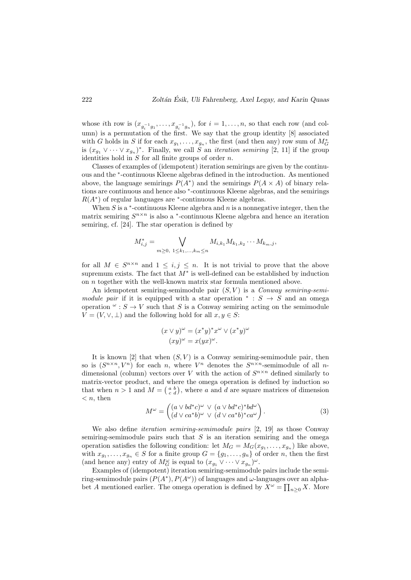whose *i*th row is  $(x_{g_i^{-1}g_1},...,x_{g_i^{-1}g_n})$ , for  $i=1,...,n$ , so that each row (and column) is a permutation of the first. We say that the group identity [8] associated with G holds in S if for each  $x_{g_1}, \ldots, x_{g_n}$ , the first (and then any) row sum of  $M_G^*$ is  $(x_{g_1} \vee \cdots \vee x_{g_n})^*$ . Finally, we call S an *iteration semiring* [2, 11] if the group identities hold in  $S$  for all finite groups of order  $n$ .

Classes of examples of (idempotent) iteration semirings are given by the continuous and the <sup>∗</sup> -continuous Kleene algebras defined in the introduction. As mentioned above, the language semirings  $P(A^*)$  and the semirings  $P(A \times A)$  of binary relations are continuous and hence also <sup>∗</sup> -continuous Kleene algebras, and the semirings  $R(A^*)$  of regular languages are  $*$ -continuous Kleene algebras.

When  $S$  is a  $*$ -continuous Kleene algebra and  $n$  is a nonnegative integer, then the matrix semiring  $S^{n \times n}$  is also a  $*$ -continuous Kleene algebra and hence an iteration semiring, cf. [24]. The star operation is defined by

$$
M_{i,j}^* = \bigvee_{m \geq 0, 1 \leq k_1, \dots, k_m \leq n} M_{i,k_1} M_{k_1,k_2} \cdots M_{k_m,j},
$$

for all  $M \in S^{n \times n}$  and  $1 \leq i, j \leq n$ . It is not trivial to prove that the above supremum exists. The fact that  $M^*$  is well-defined can be established by induction on n together with the well-known matrix star formula mentioned above.

An idempotent semiring-semimodule pair  $(S, V)$  is a *Conway semiring-semi*module pair if it is equipped with a star operation  $* : S \rightarrow S$  and an omega operation  $\omega$ :  $S \to V$  such that S is a Conway semiring acting on the semimodule  $V = (V, \vee, \perp)$  and the following hold for all  $x, y \in S$ :

$$
(x \lor y)^{\omega} = (x^*y)^* x^{\omega} \lor (x^*y)^{\omega}
$$

$$
(xy)^{\omega} = x(yx)^{\omega}.
$$

It is known [2] that when  $(S, V)$  is a Conway semiring-semimodule pair, then so is  $(S^{n \times n}, V^n)$  for each n, where  $V^n$  denotes the  $S^{n \times n}$ -semimodule of all ndimensional (column) vectors over V with the action of  $S^{n \times n}$  defined similarly to matrix-vector product, and where the omega operation is defined by induction so that when  $n > 1$  and  $M = \begin{pmatrix} a & b \\ c & d \end{pmatrix}$ , where a and d are square matrices of dimension  $\langle n, \text{ then} \rangle$ 

$$
M^{\omega} = \begin{pmatrix} (a \lor bd^*c)^{\omega} \lor (a \lor bd^*c)^*bd^{\omega} \\ (d \lor ca^*b)^{\omega} \lor (d \lor ca^*b)^*ca^{\omega} \end{pmatrix}.
$$
 (3)

We also define *iteration semiring-semimodule pairs* [2, 19] as those Conway semiring-semimodule pairs such that  $S$  is an iteration semiring and the omega operation satisfies the following condition: let  $M_G = M_G(x_{g_1}, \ldots, x_{g_n})$  like above, with  $x_{g_1}, \ldots, x_{g_n} \in S$  for a finite group  $G = \{g_1, \ldots, g_n\}$  of order n, then the first (and hence any) entry of  $M_G^{\omega}$  is equal to  $(x_{g_1} \vee \cdots \vee x_{g_n})^{\omega}$ .

Examples of (idempotent) iteration semiring-semimodule pairs include the semiring-semimodule pairs  $(P(A^*), P(A^{\omega}))$  of languages and  $\omega$ -languages over an alphabet A mentioned earlier. The omega operation is defined by  $X^{\omega} = \prod_{n\geq 0} X$ . More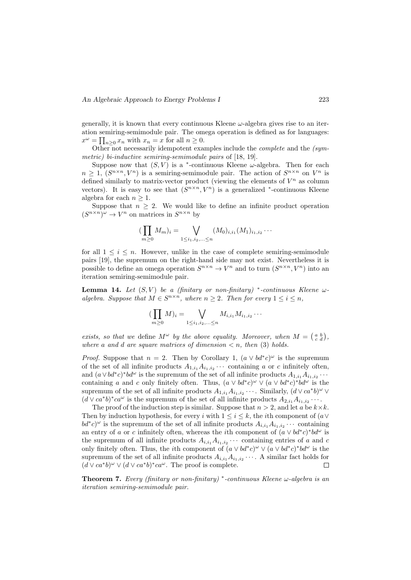generally, it is known that every continuous Kleene  $\omega$ -algebra gives rise to an iteration semiring-semimodule pair. The omega operation is defined as for languages:  $x^{\omega} = \prod_{n\geq 0} x_n$  with  $x_n = x$  for all  $n \geq 0$ .

Other not necessarily idempotent examples include the *complete* and the  $(sym$ metric) bi-inductive semiring-semimodule pairs of [18, 19].

Suppose now that  $(S, V)$  is a <sup>\*</sup>-continuous Kleene  $\omega$ -algebra. Then for each  $n \geq 1$ ,  $(S^{n \times n}, V^n)$  is a semiring-semimodule pair. The action of  $S^{n \times n}$  on  $V^n$  is defined similarly to matrix-vector product (viewing the elements of  $V^n$  as column vectors). It is easy to see that  $(S^{n \times n}, V^n)$  is a generalized <sup>\*</sup>-continuous Kleene algebra for each  $n \geq 1$ .

Suppose that  $n \geq 2$ . We would like to define an infinite product operation  $(S^{n \times n})^{\omega} \to V^n$  on matrices in  $S^{n \times n}$  by

$$
(\prod_{m\geq 0} M_m)_i = \bigvee_{1\leq i_1,i_2,\ldots\leq n} (M_0)_{i,i_1} (M_1)_{i_1,i_2}\cdots
$$

for all  $1 \leq i \leq n$ . However, unlike in the case of complete semiring-semimodule pairs [19], the supremum on the right-hand side may not exist. Nevertheless it is possible to define an omega operation  $S^{n \times n} \to V^n$  and to turn  $(S^{n \times n}, V^n)$  into an iteration semiring-semimodule pair.

**Lemma 14.** Let  $(S, V)$  be a (finitary or non-finitary) \*-continuous Kleene  $\omega$ algebra. Suppose that  $M \in S^{n \times n}$ , where  $n \geq 2$ . Then for every  $1 \leq i \leq n$ ,

$$
(\prod_{m\geq 0} M)_i = \bigvee_{1 \leq i_1, i_2, \dots \leq n} M_{i, i_1} M_{i_1, i_2} \cdots
$$

exists, so that we define  $M^{\omega}$  by the above equality. Moreover, when  $M = \begin{pmatrix} a & b \\ c & d \end{pmatrix}$ , where a and d are square matrices of dimension  $\lt n$ , then (3) holds.

*Proof.* Suppose that  $n = 2$ . Then by Corollary 1,  $(a \vee bd^*c)^{\omega}$  is the supremum of the set of all infinite products  $A_{1,i_1}A_{i_1,i_2}\cdots$  containing a or c infinitely often, and  $(a \vee bd^*c)^*bd^{\omega}$  is the supremum of the set of all infinite products  $A_{1,i_1}A_{i_1,i_2}\cdots$ containing a and c only finitely often. Thus,  $(a \vee bd^*c)^{\omega} \vee (a \vee bd^*c)^*bd^{\omega}$  is the supremum of the set of all infinite products  $A_{1,i_1}A_{i_1,i_2}\cdots$ . Similarly,  $(d\vee ca^*b)^{\omega}\vee$  $(d \vee ca^*b)^*ca^{\omega}$  is the supremum of the set of all infinite products  $A_{2,i_1}A_{i_1,i_2}\cdots$ .

The proof of the induction step is similar. Suppose that  $n > 2$ , and let a be  $k \times k$ . Then by induction hypothesis, for every i with  $1 \leq i \leq k$ , the ith component of  $(a \vee b)$  $bd^*c)^\omega$  is the supremum of the set of all infinite products  $A_{i,i_1}A_{i_1,i_2}\cdots$  containing an entry of a or c infinitely often, whereas the *i*th component of  $(a \vee bd^*c)^*bd^{\omega}$  is the supremum of all infinite products  $A_{i,i_1}A_{i_1,i_2}\cdots$  containing entries of a and c only finitely often. Thus, the *i*th component of  $(a \vee bd^*c)^{\omega} \vee (a \vee bd^*c)^*bd^{\omega}$  is the supremum of the set of all infinite products  $A_{i,i_1}A_{i_1,i_2}\cdots$ . A similar fact holds for  $(d \vee ca^*b)^{\omega} \vee (d \vee ca^*b)^*ca^{\omega}$ . The proof is complete.  $\Box$ 

**Theorem 7.** Every (finitary or non-finitary) \*-continuous Kleene  $\omega$ -algebra is an iteration semiring-semimodule pair.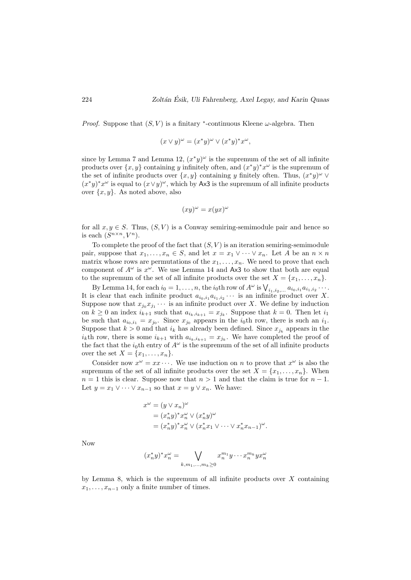*Proof.* Suppose that  $(S, V)$  is a finitary \*-continuous Kleene  $\omega$ -algebra. Then

$$
(x \vee y)^{\omega} = (x^*y)^{\omega} \vee (x^*y)^*x^{\omega},
$$

since by Lemma 7 and Lemma 12,  $(x^*y)^\omega$  is the supremum of the set of all infinite products over  $\{x, y\}$  containing y infinitely often, and  $(x^*y)^*x^{\omega}$  is the supremum of the set of infinite products over  $\{x, y\}$  containing y finitely often. Thus,  $(x^*y)^\omega \vee$  $(x^*y)^*x^{\omega}$  is equal to  $(x\vee y)^{\omega}$ , which by Ax3 is the supremum of all infinite products over  $\{x, y\}$ . As noted above, also

$$
(xy)^{\omega} = x(yx)^{\omega}
$$

for all  $x, y \in S$ . Thus,  $(S, V)$  is a Conway semiring-semimodule pair and hence so is each  $(S^{n \times n}, V^n)$ .

To complete the proof of the fact that  $(S, V)$  is an iteration semiring-semimodule pair, suppose that  $x_1, \ldots, x_n \in S$ , and let  $x = x_1 \vee \cdots \vee x_n$ . Let A be an  $n \times n$ matrix whose rows are permutations of the  $x_1, \ldots, x_n$ . We need to prove that each component of  $A^{\omega}$  is  $x^{\omega}$ . We use Lemma 14 and Ax3 to show that both are equal to the supremum of the set of all infinite products over the set  $X = \{x_1, \ldots, x_n\}.$ 

By Lemma 14, for each  $i_0 = 1, \ldots, n$ , the  $i_0$ th row of  $A^{\omega}$  is  $\bigvee_{i_1, i_2, \ldots} a_{i_0, i_1} a_{i_1, i_2} \cdots$ . It is clear that each infinite product  $a_{i_0,i_1}a_{i_1,i_2}\cdots$  is an infinite product over X. Suppose now that  $x_{j_0}x_{j_1}\cdots$  is an infinite product over X. We define by induction on  $k \geq 0$  an index  $i_{k+1}$  such that  $a_{i_k,i_{k+1}} = x_{j_k}$ . Suppose that  $k = 0$ . Then let  $i_1$ be such that  $a_{i_0,i_1} = x_{j_0}$ . Since  $x_{j_0}$  appears in the  $i_0$ th row, there is such an  $i_1$ . Suppose that  $k > 0$  and that  $i_k$  has already been defined. Since  $x_{j_k}$  appears in the  $i_k$ th row, there is some  $i_{k+1}$  with  $a_{i_k,i_{k+1}} = x_{j_k}$ . We have completed the proof of the fact that the  $i_0$ th entry of  $A^{\omega}$  is the supremum of the set of all infinite products over the set  $X = \{x_1, \ldots, x_n\}.$ 

Consider now  $x^{\omega} = xx \cdots$ . We use induction on *n* to prove that  $x^{\omega}$  is also the supremum of the set of all infinite products over the set  $X = \{x_1, \ldots, x_n\}$ . When  $n = 1$  this is clear. Suppose now that  $n > 1$  and that the claim is true for  $n - 1$ . Let  $y = x_1 \vee \cdots \vee x_{n-1}$  so that  $x = y \vee x_n$ . We have:

$$
x^{\omega} = (y \vee x_n)^{\omega}
$$
  
=  $(x_n^* y)^* x_n^{\omega} \vee (x_n^* y)^{\omega}$   
=  $(x_n^* y)^* x_n^{\omega} \vee (x_n^* x_1 \vee \cdots \vee x_n^* x_{n-1})^{\omega}$ .

Now

$$
(x_n^*y)^*x_n^{\omega} = \bigvee_{k,m_1,\ldots,m_k \ge 0} x_n^{m_1}y \cdots x_n^{m_k} y x_n^{\omega}
$$

by Lemma 8, which is the supremum of all infinite products over  $X$  containing  $x_1, \ldots, x_{n-1}$  only a finite number of times.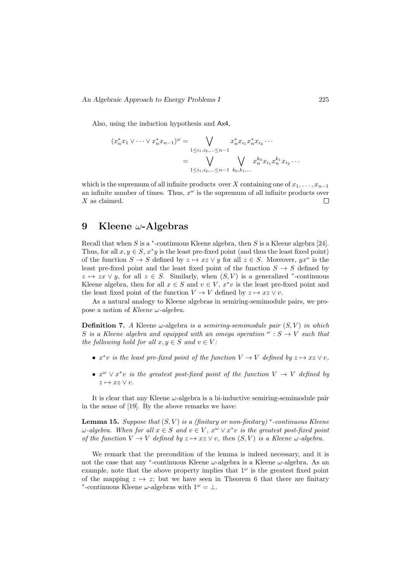Also, using the induction hypothesis and Ax4,

$$
(x_n^* x_1 \vee \dots \vee x_n^* x_{n-1})^{\omega} = \bigvee_{1 \leq i_1, i_2, \dots \leq n-1} x_n^* x_{i_1} x_n^* x_{i_2} \dots
$$

$$
= \bigvee_{1 \leq i_1, i_2, \dots \leq n-1} \bigvee_{k_0, k_1, \dots} x_n^{k_0} x_{i_1} x_n^{k_1} x_{i_2} \dots
$$

which is the supremum of all infinite products over X containing one of  $x_1, \ldots, x_{n-1}$ an infinite number of times. Thus,  $x^{\omega}$  is the supremum of all infinite products over  $X$  as claimed.  $\Box$ 

## 9 Kleene  $\omega$ -Algebras

Recall that when  $S$  is a  $*$ -continuous Kleene algebra, then  $S$  is a Kleene algebra [24]. Thus, for all  $x, y \in S$ ,  $x^*y$  is the least pre-fixed point (and thus the least fixed point) of the function  $S \to S$  defined by  $z \mapsto xz \vee y$  for all  $z \in S$ . Moreover,  $yx^*$  is the least pre-fixed point and the least fixed point of the function  $S \rightarrow S$  defined by  $z \mapsto zx \vee y$ , for all  $z \in S$ . Similarly, when  $(S, V)$  is a generalized <sup>\*</sup>-continuous Kleene algebra, then for all  $x \in S$  and  $v \in V$ ,  $x^*v$  is the least pre-fixed point and the least fixed point of the function  $V \to V$  defined by  $z \mapsto xz \vee v$ .

As a natural analogy to Kleene algebras in semiring-semimodule pairs, we propose a notion of Kleene  $\omega$ -algebra.

**Definition 7.** A Kleene  $\omega$ -algebra is a semiring-semimodule pair  $(S, V)$  in which S is a Kleene algebra and equipped with an omega operation  $\omega : S \to V$  such that the following hold for all  $x, y \in S$  and  $v \in V$ :

- $x^*v$  is the least pre-fixed point of the function  $V \to V$  defined by  $z \mapsto xz \vee v$ ,
- $x^{\omega} \vee x^*v$  is the greatest post-fixed point of the function  $V \rightarrow V$  defined by  $z \mapsto xz \vee v.$

It is clear that any Kleene  $\omega$ -algebra is a bi-inductive semiring-semimodule pair in the sense of [19]. By the above remarks we have:

**Lemma 15.** Suppose that  $(S, V)$  is a (finitary or non-finitary) \*-continuous Kleene  $\omega$ -algebra. When for all  $x \in S$  and  $v \in V$ ,  $x^{\omega} \vee x^*v$  is the greatest post-fixed point of the function  $V \to V$  defined by  $z \mapsto xz \vee v$ , then  $(S, V)$  is a Kleene  $\omega$ -algebra.

We remark that the precondition of the lemma is indeed necessary, and it is not the case that any  $*$ -continuous Kleene  $\omega$ -algebra is a Kleene  $\omega$ -algebra. As an example, note that the above property implies that  $1<sup>\omega</sup>$  is the greatest fixed point of the mapping  $z \mapsto z$ ; but we have seen in Theorem 6 that there are finitary <sup>\*</sup>-continuous Kleene  $\omega$ -algebras with  $1^{\omega} = \bot$ .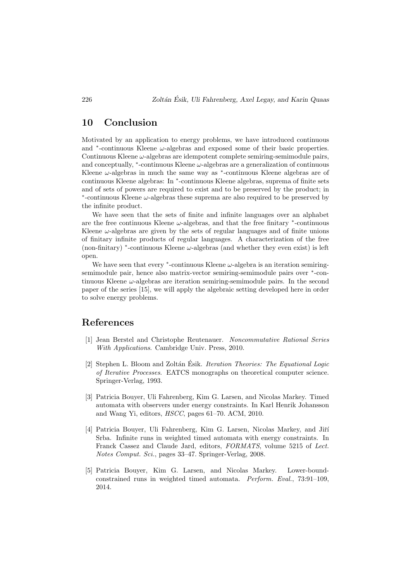## 10 Conclusion

Motivated by an application to energy problems, we have introduced continuous and <sup>∗</sup> -continuous Kleene ω-algebras and exposed some of their basic properties. Continuous Kleene  $\omega$ -algebras are idempotent complete semiring-semimodule pairs, and conceptually,  $*$ -continuous Kleene  $\omega$ -algebras are a generalization of continuous Kleene ω-algebras in much the same way as <sup>∗</sup> -continuous Kleene algebras are of continuous Kleene algebras: In <sup>∗</sup> -continuous Kleene algebras, suprema of finite sets and of sets of powers are required to exist and to be preserved by the product; in ∗ -continuous Kleene ω-algebras these suprema are also required to be preserved by the infinite product.

We have seen that the sets of finite and infinite languages over an alphabet are the free continuous Kleene  $\omega$ -algebras, and that the free finitary  $*$ -continuous Kleene  $\omega$ -algebras are given by the sets of regular languages and of finite unions of finitary infinite products of regular languages. A characterization of the free (non-finitary)  $*$ -continuous Kleene  $\omega$ -algebras (and whether they even exist) is left open.

We have seen that every  $*$ -continuous Kleene  $\omega$ -algebra is an iteration semiringsemimodule pair, hence also matrix-vector semiring-semimodule pairs over <sup>\*</sup>-continuous Kleene  $\omega$ -algebras are iteration semiring-semimodule pairs. In the second paper of the series [15], we will apply the algebraic setting developed here in order to solve energy problems.

## References

- [1] Jean Berstel and Christophe Reutenauer. Noncommutative Rational Series With Applications. Cambridge Univ. Press, 2010.
- [2] Stephen L. Bloom and Zoltán Ésik. *Iteration Theories: The Equational Logic* of Iterative Processes. EATCS monographs on theoretical computer science. Springer-Verlag, 1993.
- [3] Patricia Bouyer, Uli Fahrenberg, Kim G. Larsen, and Nicolas Markey. Timed automata with observers under energy constraints. In Karl Henrik Johansson and Wang Yi, editors, HSCC, pages 61–70. ACM, 2010.
- [4] Patricia Bouyer, Uli Fahrenberg, Kim G. Larsen, Nicolas Markey, and Jiří Srba. Infinite runs in weighted timed automata with energy constraints. In Franck Cassez and Claude Jard, editors, FORMATS, volume 5215 of Lect. Notes Comput. Sci., pages 33–47. Springer-Verlag, 2008.
- [5] Patricia Bouyer, Kim G. Larsen, and Nicolas Markey. Lower-boundconstrained runs in weighted timed automata. Perform. Eval., 73:91–109, 2014.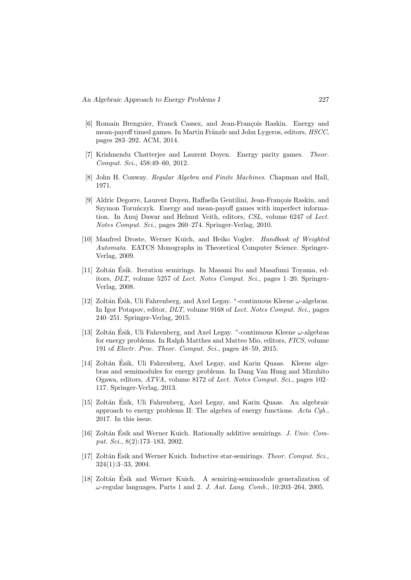- [6] Romain Brenguier, Franck Cassez, and Jean-François Raskin. Energy and mean-payoff timed games. In Martin Fränzle and John Lygeros, editors, HSCC, pages 283–292. ACM, 2014.
- [7] Krishnendu Chatterjee and Laurent Doyen. Energy parity games. Theor. Comput. Sci., 458:49–60, 2012.
- [8] John H. Conway. Regular Algebra and Finite Machines. Chapman and Hall, 1971.
- [9] Aldric Degorre, Laurent Doyen, Raffaella Gentilini, Jean-François Raskin, and Szymon Toruńczyk. Energy and mean-payoff games with imperfect information. In Anuj Dawar and Helmut Veith, editors, CSL, volume 6247 of Lect. Notes Comput. Sci., pages 260–274. Springer-Verlag, 2010.
- [10] Manfred Droste, Werner Kuich, and Heiko Vogler. Handbook of Weighted Automata. EATCS Monographs in Theoretical Computer Science. Springer-Verlag, 2009.
- [11] Zolt´an Esik. Iteration semirings. In Masami Ito and Masafumi Toyama, ed- ´ itors, DLT, volume 5257 of Lect. Notes Comput. Sci., pages 1–20. Springer-Verlag, 2008.
- [12] Zoltán Ésik, Uli Fahrenberg, and Axel Legay.  $*$ -continuous Kleene  $\omega$ -algebras. In Igor Potapov, editor, DLT, volume 9168 of Lect. Notes Comput. Sci., pages 240–251. Springer-Verlag, 2015.
- [13] Zoltán Ésik, Uli Fahrenberg, and Axel Legay.  $*$ -continuous Kleene  $\omega$ -algebras for energy problems. In Ralph Matthes and Matteo Mio, editors, FICS, volume 191 of Electr. Proc. Theor. Comput. Sci., pages 48–59, 2015.
- [14] Zoltán Esik, Uli Fahrenberg, Axel Legay, and Karin Quaas. Kleene algebras and semimodules for energy problems. In Dang Van Hung and Mizuhito Ogawa, editors, ATVA, volume 8172 of Lect. Notes Comput. Sci., pages 102– 117. Springer-Verlag, 2013.
- [15] Zoltán Ésik, Uli Fahrenberg, Axel Legay, and Karin Quaas. An algebraic approach to energy problems II: The algebra of energy functions. Acta Cyb., 2017. In this issue.
- [16] Zoltán Ésik and Werner Kuich. Rationally additive semirings.  $J.$  Univ. Comput. Sci., 8(2):173–183, 2002.
- [17] Zoltán Ésik and Werner Kuich. Inductive star-semirings. *Theor. Comput. Sci.*, 324(1):3–33, 2004.
- [18] Zoltán Ésik and Werner Kuich. A semiring-semimodule generalization of  $\omega$ -regular languages, Parts 1 and 2. J. Aut. Lang. Comb., 10:203–264, 2005.